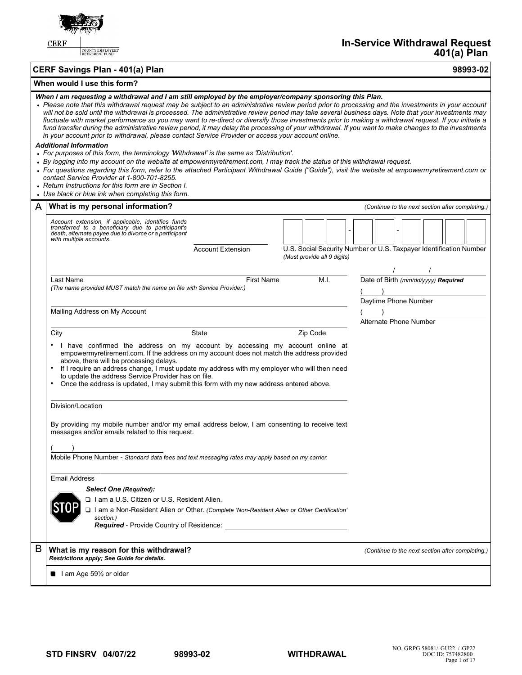

COUNTY EMPLOYEES'<br>RETIREMENT FUND

**CERF Savings Plan - 401(a) Plan 98993-02**

# **When would I use this form?**

### *When I am requesting a withdrawal and I am still employed by the employer/company sponsoring this Plan.*

| When I am requesting a withdrawal and I am still employed by the employer/company sponsoring this Plan.<br>• Please note that this withdrawal request may be subject to an administrative review period prior to processing and the investments in your account<br>will not be sold until the withdrawal is processed. The administrative review period may take several business days. Note that your investments may<br>fluctuate with market performance so you may want to re-direct or diversify those investments prior to making a withdrawal request. If you initiate a<br>fund transfer during the administrative review period, it may delay the processing of your withdrawal. If you want to make changes to the investments<br>in your account prior to withdrawal, please contact Service Provider or access your account online. |                                                                                                                                                                                                                                                                                                                                                                                                                                                                                                                                                                             |                          |  |          |                             |  |                                                                    |  |  |  |
|-------------------------------------------------------------------------------------------------------------------------------------------------------------------------------------------------------------------------------------------------------------------------------------------------------------------------------------------------------------------------------------------------------------------------------------------------------------------------------------------------------------------------------------------------------------------------------------------------------------------------------------------------------------------------------------------------------------------------------------------------------------------------------------------------------------------------------------------------|-----------------------------------------------------------------------------------------------------------------------------------------------------------------------------------------------------------------------------------------------------------------------------------------------------------------------------------------------------------------------------------------------------------------------------------------------------------------------------------------------------------------------------------------------------------------------------|--------------------------|--|----------|-----------------------------|--|--------------------------------------------------------------------|--|--|--|
|                                                                                                                                                                                                                                                                                                                                                                                                                                                                                                                                                                                                                                                                                                                                                                                                                                                 | <b>Additional Information</b><br>• For purposes of this form, the terminology 'Withdrawal' is the same as 'Distribution'.<br>• By logging into my account on the website at empowermyretirement.com, I may track the status of this withdrawal request.<br>• For questions regarding this form, refer to the attached Participant Withdrawal Guide ("Guide"), visit the website at empowermyretirement.com or<br>contact Service Provider at 1-800-701-8255.<br>• Return Instructions for this form are in Section I.<br>• Use black or blue ink when completing this form. |                          |  |          |                             |  |                                                                    |  |  |  |
| A                                                                                                                                                                                                                                                                                                                                                                                                                                                                                                                                                                                                                                                                                                                                                                                                                                               | What is my personal information?                                                                                                                                                                                                                                                                                                                                                                                                                                                                                                                                            |                          |  |          |                             |  | (Continue to the next section after completing.)                   |  |  |  |
|                                                                                                                                                                                                                                                                                                                                                                                                                                                                                                                                                                                                                                                                                                                                                                                                                                                 | Account extension, if applicable, identifies funds<br>transferred to a beneficiary due to participant's<br>death, alternate payee due to divorce or a participant<br>with multiple accounts.                                                                                                                                                                                                                                                                                                                                                                                | <b>Account Extension</b> |  |          | (Must provide all 9 digits) |  | U.S. Social Security Number or U.S. Taxpayer Identification Number |  |  |  |
|                                                                                                                                                                                                                                                                                                                                                                                                                                                                                                                                                                                                                                                                                                                                                                                                                                                 | Last Name<br>(The name provided MUST match the name on file with Service Provider.)                                                                                                                                                                                                                                                                                                                                                                                                                                                                                         | <b>First Name</b>        |  |          | M.I.                        |  | Date of Birth (mm/dd/yyyy) Required<br>Daytime Phone Number        |  |  |  |
|                                                                                                                                                                                                                                                                                                                                                                                                                                                                                                                                                                                                                                                                                                                                                                                                                                                 | Mailing Address on My Account                                                                                                                                                                                                                                                                                                                                                                                                                                                                                                                                               |                          |  |          |                             |  | Alternate Phone Number                                             |  |  |  |
|                                                                                                                                                                                                                                                                                                                                                                                                                                                                                                                                                                                                                                                                                                                                                                                                                                                 | City<br>• I have confirmed the address on my account by accessing my account online at<br>empowermyretirement.com. If the address on my account does not match the address provided<br>above, there will be processing delays.<br>If I require an address change, I must update my address with my employer who will then need<br>to update the address Service Provider has on file.<br>Once the address is updated, I may submit this form with my new address entered above.                                                                                             | State                    |  | Zip Code |                             |  |                                                                    |  |  |  |
|                                                                                                                                                                                                                                                                                                                                                                                                                                                                                                                                                                                                                                                                                                                                                                                                                                                 | Division/Location<br>By providing my mobile number and/or my email address below, I am consenting to receive text<br>messages and/or emails related to this request.<br>Mobile Phone Number - Standard data fees and text messaging rates may apply based on my carrier.                                                                                                                                                                                                                                                                                                    |                          |  |          |                             |  |                                                                    |  |  |  |
|                                                                                                                                                                                                                                                                                                                                                                                                                                                                                                                                                                                                                                                                                                                                                                                                                                                 | <b>Email Address</b><br><b>Select One (Required):</b><br>□ I am a U.S. Citizen or U.S. Resident Alien.<br>□ I am a Non-Resident Alien or Other. (Complete 'Non-Resident Alien or Other Certification'<br>section.)<br><b>Required</b> - Provide Country of Residence:                                                                                                                                                                                                                                                                                                       |                          |  |          |                             |  |                                                                    |  |  |  |
| B                                                                                                                                                                                                                                                                                                                                                                                                                                                                                                                                                                                                                                                                                                                                                                                                                                               | What is my reason for this withdrawal?<br>Restrictions apply; See Guide for details.                                                                                                                                                                                                                                                                                                                                                                                                                                                                                        |                          |  |          |                             |  | (Continue to the next section after completing.)                   |  |  |  |
|                                                                                                                                                                                                                                                                                                                                                                                                                                                                                                                                                                                                                                                                                                                                                                                                                                                 | lam Age 591/2 or older                                                                                                                                                                                                                                                                                                                                                                                                                                                                                                                                                      |                          |  |          |                             |  |                                                                    |  |  |  |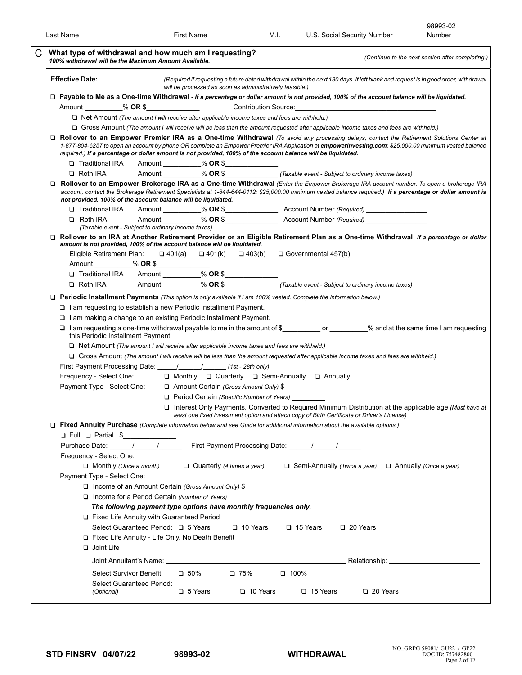|   |                                                                                                                                                                                                                                                                        |                                                                                  |                                                          |                 |             |                                                                      |                                                                                                       | 98993-02                                                                                                                                                                                                                                                                                                |
|---|------------------------------------------------------------------------------------------------------------------------------------------------------------------------------------------------------------------------------------------------------------------------|----------------------------------------------------------------------------------|----------------------------------------------------------|-----------------|-------------|----------------------------------------------------------------------|-------------------------------------------------------------------------------------------------------|---------------------------------------------------------------------------------------------------------------------------------------------------------------------------------------------------------------------------------------------------------------------------------------------------------|
|   | Last Name                                                                                                                                                                                                                                                              | First Name                                                                       |                                                          |                 | M.I.        | U.S. Social Security Number                                          |                                                                                                       | Number                                                                                                                                                                                                                                                                                                  |
| C | What type of withdrawal and how much am I requesting?<br>100% withdrawal will be the Maximum Amount Available.                                                                                                                                                         |                                                                                  |                                                          |                 |             |                                                                      |                                                                                                       | (Continue to the next section after completing.)                                                                                                                                                                                                                                                        |
|   |                                                                                                                                                                                                                                                                        |                                                                                  | will be processed as soon as administratively feasible.) |                 |             |                                                                      |                                                                                                       | Effective Date: (Required if requesting a future dated withdrawal within the next 180 days. If left blank and request is in good order, withdrawal                                                                                                                                                      |
|   | □ Payable to Me as a One-time Withdrawal - If a percentage or dollar amount is not provided, 100% of the account balance will be liquidated.                                                                                                                           |                                                                                  |                                                          |                 |             |                                                                      |                                                                                                       |                                                                                                                                                                                                                                                                                                         |
|   |                                                                                                                                                                                                                                                                        |                                                                                  |                                                          |                 |             |                                                                      |                                                                                                       |                                                                                                                                                                                                                                                                                                         |
|   | $\Box$ Net Amount (The amount I will receive after applicable income taxes and fees are withheld.)                                                                                                                                                                     |                                                                                  |                                                          |                 |             |                                                                      |                                                                                                       |                                                                                                                                                                                                                                                                                                         |
|   | □ Gross Amount (The amount I will receive will be less than the amount requested after applicable income taxes and fees are withheld.)                                                                                                                                 |                                                                                  |                                                          |                 |             |                                                                      |                                                                                                       |                                                                                                                                                                                                                                                                                                         |
|   | required.) If a percentage or dollar amount is not provided, 100% of the account balance will be liquidated.                                                                                                                                                           |                                                                                  |                                                          |                 |             |                                                                      |                                                                                                       | $\Box$ Rollover to an Empower Premier IRA as a One-time Withdrawal (To avoid any processing delays, contact the Retirement Solutions Center at<br>1-877-804-6257 to open an account by phone OR complete an Empower Premier IRA Application at empowerinvesting.com; \$25,000.00 minimum vested balance |
|   | □ Traditional IRA                                                                                                                                                                                                                                                      | Amount ___________% OR \$_______________                                         |                                                          |                 |             |                                                                      |                                                                                                       |                                                                                                                                                                                                                                                                                                         |
|   | □ Roth IRA                                                                                                                                                                                                                                                             |                                                                                  |                                                          |                 |             |                                                                      |                                                                                                       |                                                                                                                                                                                                                                                                                                         |
|   | not provided, 100% of the account balance will be liquidated.                                                                                                                                                                                                          |                                                                                  |                                                          |                 |             |                                                                      |                                                                                                       | Rollover to an Empower Brokerage IRA as a One-time Withdrawal (Enter the Empower Brokerage IRA account number. To open a brokerage IRA<br>account, contact the Brokerage Retirement Specialists at 1-844-644-0112; \$25,000.00 minimum vested balance required.) If a percentage or dollar amount is    |
|   | □ Traditional IRA Amount _________% OR \$________________Account Number (Required) _______________                                                                                                                                                                     |                                                                                  |                                                          |                 |             |                                                                      |                                                                                                       |                                                                                                                                                                                                                                                                                                         |
|   | $\Box$ Roth IRA                                                                                                                                                                                                                                                        |                                                                                  |                                                          |                 |             |                                                                      | Amount __________% OR \$__________________________Account Number (Required) _________________________ |                                                                                                                                                                                                                                                                                                         |
|   |                                                                                                                                                                                                                                                                        | (Taxable event - Subject to ordinary income taxes)                               |                                                          |                 |             |                                                                      |                                                                                                       |                                                                                                                                                                                                                                                                                                         |
|   | amount is not provided, 100% of the account balance will be liquidated.<br>Eligible Retirement Plan:                                                                                                                                                                   |                                                                                  |                                                          |                 |             | $\Box$ 401(a) $\Box$ 401(k) $\Box$ 403(b) $\Box$ Governmental 457(b) |                                                                                                       | Rollover to an IRA at Another Retirement Provider or an Eligible Retirement Plan as a One-time Withdrawal If a percentage or dollar                                                                                                                                                                     |
|   |                                                                                                                                                                                                                                                                        |                                                                                  |                                                          |                 |             |                                                                      |                                                                                                       |                                                                                                                                                                                                                                                                                                         |
|   |                                                                                                                                                                                                                                                                        |                                                                                  |                                                          |                 |             |                                                                      |                                                                                                       |                                                                                                                                                                                                                                                                                                         |
|   | U Traditional IRA Amount _________% OR \$_______________<br>□ Roth IRA Amount _________% OR \$_______________(Taxable event - Subject to ordinary income taxes)                                                                                                        |                                                                                  |                                                          |                 |             |                                                                      |                                                                                                       |                                                                                                                                                                                                                                                                                                         |
|   |                                                                                                                                                                                                                                                                        |                                                                                  |                                                          |                 |             |                                                                      |                                                                                                       |                                                                                                                                                                                                                                                                                                         |
|   | □ Periodic Installment Payments (This option is only available if I am 100% vested. Complete the information below.)<br>$\Box$ I am requesting to establish a new Periodic Installment Payment.<br>□ I am making a change to an existing Periodic Installment Payment. |                                                                                  |                                                          |                 |             |                                                                      |                                                                                                       | □ I am requesting a one-time withdrawal payable to me in the amount of \$___________________% and at the same time I am requesting                                                                                                                                                                      |
|   | this Periodic Installment Payment.<br>$\Box$ Net Amount (The amount I will receive after applicable income taxes and fees are withheld.)                                                                                                                               |                                                                                  |                                                          |                 |             |                                                                      |                                                                                                       |                                                                                                                                                                                                                                                                                                         |
|   | □ Gross Amount (The amount I will receive will be less than the amount requested after applicable income taxes and fees are withheld.)                                                                                                                                 |                                                                                  |                                                          |                 |             |                                                                      |                                                                                                       |                                                                                                                                                                                                                                                                                                         |
|   |                                                                                                                                                                                                                                                                        |                                                                                  |                                                          |                 |             |                                                                      |                                                                                                       |                                                                                                                                                                                                                                                                                                         |
|   | Frequency - Select One:                                                                                                                                                                                                                                                |                                                                                  |                                                          |                 |             | □ Monthly □ Quarterly □ Semi-Annually □ Annually                     |                                                                                                       |                                                                                                                                                                                                                                                                                                         |
|   | Payment Type - Select One:                                                                                                                                                                                                                                             |                                                                                  |                                                          |                 |             | Amount Certain (Gross Amount Only) \$                                |                                                                                                       |                                                                                                                                                                                                                                                                                                         |
|   |                                                                                                                                                                                                                                                                        |                                                                                  | $\Box$ Period Certain (Specific Number of Years)         |                 |             |                                                                      |                                                                                                       |                                                                                                                                                                                                                                                                                                         |
|   |                                                                                                                                                                                                                                                                        |                                                                                  |                                                          |                 |             |                                                                      | least one fixed investment option and attach copy of Birth Certificate or Driver's License)           | $\Box$ Interest Only Payments, Converted to Required Minimum Distribution at the applicable age (Must have at                                                                                                                                                                                           |
|   | □ Fixed Annuity Purchase (Complete information below and see Guide for additional information about the available options.)<br>□ Full □ Partial \$                                                                                                                     |                                                                                  |                                                          |                 |             |                                                                      |                                                                                                       |                                                                                                                                                                                                                                                                                                         |
|   |                                                                                                                                                                                                                                                                        |                                                                                  |                                                          |                 |             |                                                                      |                                                                                                       |                                                                                                                                                                                                                                                                                                         |
|   | Frequency - Select One:                                                                                                                                                                                                                                                |                                                                                  |                                                          |                 |             |                                                                      |                                                                                                       |                                                                                                                                                                                                                                                                                                         |
|   | $\Box$ Monthly (Once a month)                                                                                                                                                                                                                                          |                                                                                  |                                                          |                 |             |                                                                      | Quarterly (4 times a year) $\Box$ Semi-Annually (Twice a year) $\Box$ Annually (Once a year)          |                                                                                                                                                                                                                                                                                                         |
|   | Payment Type - Select One:                                                                                                                                                                                                                                             |                                                                                  |                                                          |                 |             |                                                                      |                                                                                                       |                                                                                                                                                                                                                                                                                                         |
|   |                                                                                                                                                                                                                                                                        | □ Income of an Amount Certain (Gross Amount Only) \$                             |                                                          |                 |             |                                                                      |                                                                                                       |                                                                                                                                                                                                                                                                                                         |
|   |                                                                                                                                                                                                                                                                        | □ Income for a Period Certain (Number of Years) ________________________________ |                                                          |                 |             |                                                                      |                                                                                                       |                                                                                                                                                                                                                                                                                                         |
|   |                                                                                                                                                                                                                                                                        | The following payment type options have monthly frequencies only.                |                                                          |                 |             |                                                                      |                                                                                                       |                                                                                                                                                                                                                                                                                                         |
|   |                                                                                                                                                                                                                                                                        | Fixed Life Annuity with Guaranteed Period                                        |                                                          |                 |             |                                                                      |                                                                                                       |                                                                                                                                                                                                                                                                                                         |
|   |                                                                                                                                                                                                                                                                        | Select Guaranteed Period: □ 5 Years                                              |                                                          | $\Box$ 10 Years |             | $\Box$ 15 Years                                                      | 20 Years                                                                                              |                                                                                                                                                                                                                                                                                                         |
|   |                                                                                                                                                                                                                                                                        | Fixed Life Annuity - Life Only, No Death Benefit                                 |                                                          |                 |             |                                                                      |                                                                                                       |                                                                                                                                                                                                                                                                                                         |
|   | $\Box$ Joint Life                                                                                                                                                                                                                                                      |                                                                                  |                                                          |                 |             |                                                                      |                                                                                                       |                                                                                                                                                                                                                                                                                                         |
|   |                                                                                                                                                                                                                                                                        |                                                                                  |                                                          |                 |             |                                                                      |                                                                                                       |                                                                                                                                                                                                                                                                                                         |
|   | Select Survivor Benefit:                                                                                                                                                                                                                                               | $\square$ 50%                                                                    |                                                          | $\Box$ 75%      | $\Box$ 100% |                                                                      |                                                                                                       |                                                                                                                                                                                                                                                                                                         |
|   | Select Guaranteed Period:                                                                                                                                                                                                                                              |                                                                                  |                                                          |                 |             |                                                                      |                                                                                                       |                                                                                                                                                                                                                                                                                                         |
|   | (Optional)                                                                                                                                                                                                                                                             |                                                                                  | $\Box$ 5 Years                                           | $\Box$ 10 Years |             | $\Box$ 15 Years                                                      | $\Box$ 20 Years                                                                                       |                                                                                                                                                                                                                                                                                                         |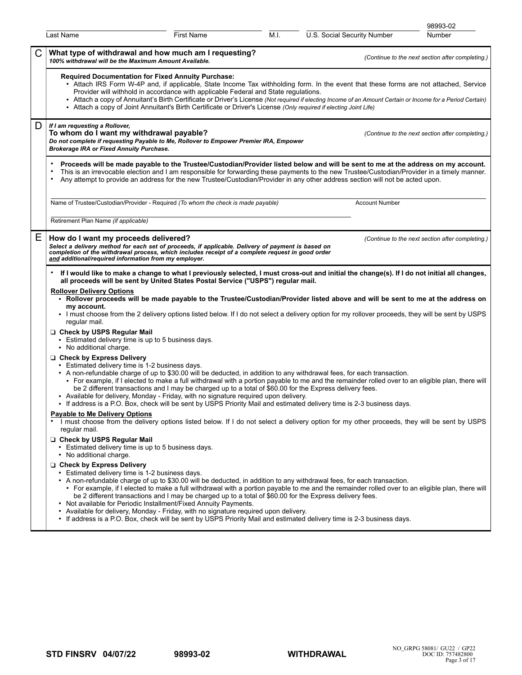|                                                                                                                                                                                                               |                                                                                                                                                                                                                                                                       |      |                                                                                                                                                                                                                                                                                                                                                                                                                    | 98993-02                                         |
|---------------------------------------------------------------------------------------------------------------------------------------------------------------------------------------------------------------|-----------------------------------------------------------------------------------------------------------------------------------------------------------------------------------------------------------------------------------------------------------------------|------|--------------------------------------------------------------------------------------------------------------------------------------------------------------------------------------------------------------------------------------------------------------------------------------------------------------------------------------------------------------------------------------------------------------------|--------------------------------------------------|
| Last Name                                                                                                                                                                                                     | <b>First Name</b>                                                                                                                                                                                                                                                     | M.I. | U.S. Social Security Number                                                                                                                                                                                                                                                                                                                                                                                        | Number                                           |
| 100% withdrawal will be the Maximum Amount Available.                                                                                                                                                         | What type of withdrawal and how much am I requesting?                                                                                                                                                                                                                 |      |                                                                                                                                                                                                                                                                                                                                                                                                                    | (Continue to the next section after completing.) |
|                                                                                                                                                                                                               | <b>Required Documentation for Fixed Annuity Purchase:</b><br>Provider will withhold in accordance with applicable Federal and State regulations.<br>• Attach a copy of Joint Annuitant's Birth Certificate or Driver's License (Only required if electing Joint Life) |      | • Attach IRS Form W-4P and, if applicable, State Income Tax withholding form. In the event that these forms are not attached, Service<br>• Attach a copy of Annuitant's Birth Certificate or Driver's License (Not required if electing Income of an Amount Certain or Income for a Period Certain)                                                                                                                |                                                  |
| D<br>If I am requesting a Rollover,<br>To whom do I want my withdrawal payable?<br><b>Brokerage IRA or Fixed Annuity Purchase.</b>                                                                            | Do not complete if requesting Payable to Me, Rollover to Empower Premier IRA, Empower                                                                                                                                                                                 |      |                                                                                                                                                                                                                                                                                                                                                                                                                    | (Continue to the next section after completing.) |
| $\bullet$                                                                                                                                                                                                     |                                                                                                                                                                                                                                                                       |      | Proceeds will be made payable to the Trustee/Custodian/Provider listed below and will be sent to me at the address on my account.<br>This is an irrevocable election and I am responsible for forwarding these payments to the new Trustee/Custodian/Provider in a timely manner.<br>Any attempt to provide an address for the new Trustee/Custodian/Provider in any other address section will not be acted upon. |                                                  |
|                                                                                                                                                                                                               | Name of Trustee/Custodian/Provider - Required (To whom the check is made payable)                                                                                                                                                                                     |      | <b>Account Number</b>                                                                                                                                                                                                                                                                                                                                                                                              |                                                  |
| Retirement Plan Name (if applicable)                                                                                                                                                                          |                                                                                                                                                                                                                                                                       |      |                                                                                                                                                                                                                                                                                                                                                                                                                    |                                                  |
| Ε<br>How do I want my proceeds delivered?                                                                                                                                                                     | Select a delivery method for each set of proceeds, if applicable. Delivery of payment is based on<br>completion of the withdrawal process, which includes receipt of a complete request in good order<br>and additional/required information from my employer.        |      |                                                                                                                                                                                                                                                                                                                                                                                                                    | (Continue to the next section after completing.) |
| <b>Rollover Delivery Options</b><br>my account.<br>regular mail.<br>Check by USPS Regular Mail<br>• Estimated delivery time is up to 5 business days.<br>• No additional charge.<br>Check by Express Delivery | all proceeds will be sent by United States Postal Service ("USPS") regular mail.                                                                                                                                                                                      |      | • Rollover proceeds will be made payable to the Trustee/Custodian/Provider listed above and will be sent to me at the address on<br>. I must choose from the 2 delivery options listed below. If I do not select a delivery option for my rollover proceeds, they will be sent by USPS                                                                                                                             |                                                  |
|                                                                                                                                                                                                               | • Estimated delivery time is 1-2 business days.<br>be 2 different transactions and I may be charged up to a total of \$60.00 for the Express delivery fees.<br>• Available for delivery, Monday - Friday, with no signature required upon delivery.                   |      | • A non-refundable charge of up to \$30.00 will be deducted, in addition to any withdrawal fees, for each transaction.<br>• For example, if I elected to make a full withdrawal with a portion payable to me and the remainder rolled over to an eligible plan, there will                                                                                                                                         |                                                  |
| Payable to Me Delivery Options<br>regular mail.                                                                                                                                                               |                                                                                                                                                                                                                                                                       |      | • If address is a P.O. Box, check will be sent by USPS Priority Mail and estimated delivery time is 2-3 business days.<br>I must choose from the delivery options listed below. If I do not select a delivery option for my other proceeds, they will be sent by USPS                                                                                                                                              |                                                  |
| Check by USPS Regular Mail<br>• Estimated delivery time is up to 5 business days.<br>• No additional charge.                                                                                                  |                                                                                                                                                                                                                                                                       |      |                                                                                                                                                                                                                                                                                                                                                                                                                    |                                                  |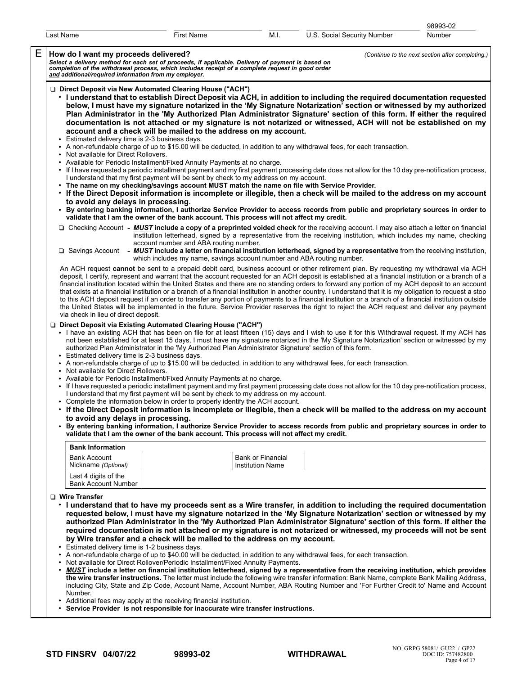|                                            |                                       |                                                                                                                                                                                                                                                                                                                                                                                                                                                                                                                                                                                                                        |                                              |                                                                                                                                                                                                                                                                                                                                                                                                                                                                                                                                                                                                                                                                                                                                                                                                                                                                                                                                                                                                                                                                                                                                                                                                                                                                                                | 98993-02                                         |
|--------------------------------------------|---------------------------------------|------------------------------------------------------------------------------------------------------------------------------------------------------------------------------------------------------------------------------------------------------------------------------------------------------------------------------------------------------------------------------------------------------------------------------------------------------------------------------------------------------------------------------------------------------------------------------------------------------------------------|----------------------------------------------|------------------------------------------------------------------------------------------------------------------------------------------------------------------------------------------------------------------------------------------------------------------------------------------------------------------------------------------------------------------------------------------------------------------------------------------------------------------------------------------------------------------------------------------------------------------------------------------------------------------------------------------------------------------------------------------------------------------------------------------------------------------------------------------------------------------------------------------------------------------------------------------------------------------------------------------------------------------------------------------------------------------------------------------------------------------------------------------------------------------------------------------------------------------------------------------------------------------------------------------------------------------------------------------------|--------------------------------------------------|
| Last Name                                  |                                       | <b>First Name</b>                                                                                                                                                                                                                                                                                                                                                                                                                                                                                                                                                                                                      | M.I.                                         | U.S. Social Security Number                                                                                                                                                                                                                                                                                                                                                                                                                                                                                                                                                                                                                                                                                                                                                                                                                                                                                                                                                                                                                                                                                                                                                                                                                                                                    | Number                                           |
| How do I want my proceeds delivered?       |                                       | Select a delivery method for each set of proceeds, if applicable. Delivery of payment is based on<br>completion of the withdrawal process, which includes receipt of a complete request in good order<br>and additional/required inf                                                                                                                                                                                                                                                                                                                                                                                   |                                              |                                                                                                                                                                                                                                                                                                                                                                                                                                                                                                                                                                                                                                                                                                                                                                                                                                                                                                                                                                                                                                                                                                                                                                                                                                                                                                | (Continue to the next section after completing.) |
| $\bullet$                                  | Not available for Direct Rollovers.   | □ Direct Deposit via New Automated Clearing House ("ACH")<br>account and a check will be mailed to the address on my account.<br>Estimated delivery time is 2-3 business days.<br>• Available for Periodic Installment/Fixed Annuity Payments at no charge.<br>I understand that my first payment will be sent by check to my address on my account.<br>• The name on my checking/savings account MUST match the name on file with Service Provider.<br>to avoid any delays in processing.<br>validate that I am the owner of the bank account. This process will not affect my credit.                                |                                              | I understand that to establish Direct Deposit via ACH, in addition to including the required documentation requested<br>below, I must have my signature notarized in the 'My Signature Notarization' section or witnessed by my authorized<br>Plan Administrator in the 'My Authorized Plan Administrator Signature' section of this form. If either the required<br>documentation is not attached or my signature is not notarized or witnessed, ACH will not be established on my<br>A non-refundable charge of up to \$15.00 will be deducted, in addition to any withdrawal fees, for each transaction.<br>If I have requested a periodic installment payment and my first payment processing date does not allow for the 10 day pre-notification process,<br>If the Direct Deposit information is incomplete or illegible, then a check will be mailed to the address on my account<br>By entering banking information, I authorize Service Provider to access records from public and proprietary sources in order to<br>□ Checking Account - MUST include a copy of a preprinted voided check for the receiving account. I may also attach a letter on financial<br>institution letterhead, signed by a representative from the receiving institution, which includes my name, checking |                                                  |
|                                            |                                       | account number and ABA routing number.<br>which includes my name, savings account number and ABA routing number.                                                                                                                                                                                                                                                                                                                                                                                                                                                                                                       |                                              | $\Box$ Savings Account - MUST include a letter on financial institution letterhead, signed by a representative from the receiving institution,                                                                                                                                                                                                                                                                                                                                                                                                                                                                                                                                                                                                                                                                                                                                                                                                                                                                                                                                                                                                                                                                                                                                                 |                                                  |
|                                            | via check in lieu of direct deposit.  |                                                                                                                                                                                                                                                                                                                                                                                                                                                                                                                                                                                                                        |                                              | An ACH request cannot be sent to a prepaid debit card, business account or other retirement plan. By requesting my withdrawal via ACH<br>deposit, I certify, represent and warrant that the account requested for an ACH deposit is established at a financial institution or a branch of a<br>financial institution located within the United States and there are no standing orders to forward any portion of my ACH deposit to an account<br>that exists at a financial institution or a branch of a financial institution in another country. I understand that it is my obligation to request a stop<br>to this ACH deposit request if an order to transfer any portion of payments to a financial institution or a branch of a financial institution outside<br>the United States will be implemented in the future. Service Provider reserves the right to reject the ACH request and deliver any payment                                                                                                                                                                                                                                                                                                                                                                              |                                                  |
|                                            | • Not available for Direct Rollovers. | □ Direct Deposit via Existing Automated Clearing House ("ACH")<br>authorized Plan Administrator in the 'My Authorized Plan Administrator Signature' section of this form.<br>Estimated delivery time is 2-3 business days.<br>• Available for Periodic Installment/Fixed Annuity Payments at no charge.<br>I understand that my first payment will be sent by check to my address on my account.<br>• Complete the information below in order to properly identify the ACH account.<br>to avoid any delays in processing.<br>validate that I am the owner of the bank account. This process will not affect my credit. |                                              | • I have an existing ACH that has been on file for at least fifteen (15) days and I wish to use it for this Withdrawal request. If my ACH has<br>not been established for at least 15 days, I must have my signature notarized in the 'My Signature Notarization' section or witnessed by my<br>A non-refundable charge of up to \$15.00 will be deducted, in addition to any withdrawal fees, for each transaction.<br>• If I have requested a periodic installment payment and my first payment processing date does not allow for the 10 day pre-notification process,<br>• If the Direct Deposit information is incomplete or illegible, then a check will be mailed to the address on my account<br>By entering banking information, I authorize Service Provider to access records from public and proprietary sources in order to                                                                                                                                                                                                                                                                                                                                                                                                                                                       |                                                  |
| <b>Bank Information</b>                    |                                       |                                                                                                                                                                                                                                                                                                                                                                                                                                                                                                                                                                                                                        |                                              |                                                                                                                                                                                                                                                                                                                                                                                                                                                                                                                                                                                                                                                                                                                                                                                                                                                                                                                                                                                                                                                                                                                                                                                                                                                                                                |                                                  |
| <b>Bank Account</b><br>Nickname (Optional) |                                       |                                                                                                                                                                                                                                                                                                                                                                                                                                                                                                                                                                                                                        | Bank or Financial<br><b>Institution Name</b> |                                                                                                                                                                                                                                                                                                                                                                                                                                                                                                                                                                                                                                                                                                                                                                                                                                                                                                                                                                                                                                                                                                                                                                                                                                                                                                |                                                  |
| Last 4 digits of the                       | <b>Bank Account Number</b>            |                                                                                                                                                                                                                                                                                                                                                                                                                                                                                                                                                                                                                        |                                              |                                                                                                                                                                                                                                                                                                                                                                                                                                                                                                                                                                                                                                                                                                                                                                                                                                                                                                                                                                                                                                                                                                                                                                                                                                                                                                |                                                  |
| <b>U</b> Wire Transfer                     |                                       | by Wire transfer and a check will be mailed to the address on my account.<br>Estimated delivery time is 1-2 business days.<br>Not available for Direct Rollover/Periodic Installment/Fixed Annuity Payments.                                                                                                                                                                                                                                                                                                                                                                                                           |                                              | . I understand that to have my proceeds sent as a Wire transfer, in addition to including the required documentation<br>requested below, I must have my signature notarized in the 'My Signature Notarization' section or witnessed by my<br>authorized Plan Administrator in the 'My Authorized Plan Administrator Signature' section of this form. If either the<br>required documentation is not attached or my signature is not notarized or witnessed, my proceeds will not be sent<br>• A non-refundable charge of up to \$40.00 will be deducted, in addition to any withdrawal fees, for each transaction.<br>• MUST include a letter on financial institution letterhead, signed by a representative from the receiving institution, which provides<br>the wire transfer instructions. The letter must include the following wire transfer information: Bank Name, complete Bank Mailing Address,<br>including City, State and Zip Code, Account Name, Account Number, ABA Routing Number and 'For Further Credit to' Name and Account                                                                                                                                                                                                                                                |                                                  |

- Number.
- Additional fees may apply at the receiving financial institution.
- **Service Provider is not responsible for inaccurate wire transfer instructions.**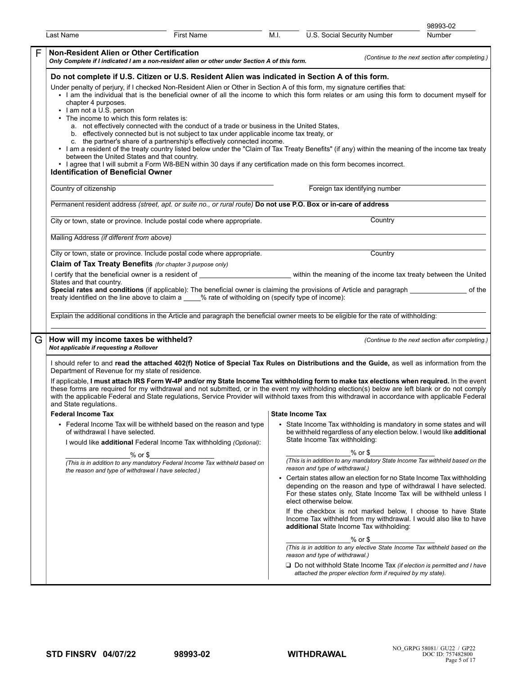|   |                                                                                                                                                                                                                                                                                                                                                                                                                                                                                                                                                                                                                                                                                                                                                                                                                                                                                                                                                                                                                                                                                                                                |                   |      |                                                                                                                                                                                                                                                                             | 98993-02                                         |  |  |  |  |
|---|--------------------------------------------------------------------------------------------------------------------------------------------------------------------------------------------------------------------------------------------------------------------------------------------------------------------------------------------------------------------------------------------------------------------------------------------------------------------------------------------------------------------------------------------------------------------------------------------------------------------------------------------------------------------------------------------------------------------------------------------------------------------------------------------------------------------------------------------------------------------------------------------------------------------------------------------------------------------------------------------------------------------------------------------------------------------------------------------------------------------------------|-------------------|------|-----------------------------------------------------------------------------------------------------------------------------------------------------------------------------------------------------------------------------------------------------------------------------|--------------------------------------------------|--|--|--|--|
|   | Last Name                                                                                                                                                                                                                                                                                                                                                                                                                                                                                                                                                                                                                                                                                                                                                                                                                                                                                                                                                                                                                                                                                                                      | <b>First Name</b> | M.I. | U.S. Social Security Number                                                                                                                                                                                                                                                 | Number                                           |  |  |  |  |
| F | <b>Non-Resident Alien or Other Certification</b><br>Only Complete if I indicated I am a non-resident alien or other under Section A of this form.                                                                                                                                                                                                                                                                                                                                                                                                                                                                                                                                                                                                                                                                                                                                                                                                                                                                                                                                                                              |                   |      |                                                                                                                                                                                                                                                                             | (Continue to the next section after completing.) |  |  |  |  |
|   | Do not complete if U.S. Citizen or U.S. Resident Alien was indicated in Section A of this form.<br>Under penalty of perjury, if I checked Non-Resident Alien or Other in Section A of this form, my signature certifies that:<br>. I am the individual that is the beneficial owner of all the income to which this form relates or am using this form to document myself for<br>chapter 4 purposes.<br>• I am not a U.S. person<br>• The income to which this form relates is:<br>a. not effectively connected with the conduct of a trade or business in the United States,<br>b. effectively connected but is not subject to tax under applicable income tax treaty, or<br>c. the partner's share of a partnership's effectively connected income.<br>• I am a resident of the treaty country listed below under the "Claim of Tax Treaty Benefits" (if any) within the meaning of the income tax treaty<br>between the United States and that country.<br>• I agree that I will submit a Form W8-BEN within 30 days if any certification made on this form becomes incorrect.<br><b>Identification of Beneficial Owner</b> |                   |      |                                                                                                                                                                                                                                                                             |                                                  |  |  |  |  |
|   | Country of citizenship                                                                                                                                                                                                                                                                                                                                                                                                                                                                                                                                                                                                                                                                                                                                                                                                                                                                                                                                                                                                                                                                                                         |                   |      | Foreign tax identifying number                                                                                                                                                                                                                                              |                                                  |  |  |  |  |
|   | Permanent resident address (street, apt. or suite no., or rural route) Do not use P.O. Box or in-care of address                                                                                                                                                                                                                                                                                                                                                                                                                                                                                                                                                                                                                                                                                                                                                                                                                                                                                                                                                                                                               |                   |      |                                                                                                                                                                                                                                                                             |                                                  |  |  |  |  |
|   | City or town, state or province. Include postal code where appropriate.                                                                                                                                                                                                                                                                                                                                                                                                                                                                                                                                                                                                                                                                                                                                                                                                                                                                                                                                                                                                                                                        |                   |      | Country                                                                                                                                                                                                                                                                     |                                                  |  |  |  |  |
|   | Mailing Address (if different from above)                                                                                                                                                                                                                                                                                                                                                                                                                                                                                                                                                                                                                                                                                                                                                                                                                                                                                                                                                                                                                                                                                      |                   |      |                                                                                                                                                                                                                                                                             |                                                  |  |  |  |  |
|   | City or town, state or province. Include postal code where appropriate.<br>Claim of Tax Treaty Benefits (for chapter 3 purpose only)                                                                                                                                                                                                                                                                                                                                                                                                                                                                                                                                                                                                                                                                                                                                                                                                                                                                                                                                                                                           |                   |      | Country                                                                                                                                                                                                                                                                     |                                                  |  |  |  |  |
|   | I certify that the beneficial owner is a resident of<br>States and that country.                                                                                                                                                                                                                                                                                                                                                                                                                                                                                                                                                                                                                                                                                                                                                                                                                                                                                                                                                                                                                                               |                   |      | within the meaning of the income tax treaty between the United                                                                                                                                                                                                              |                                                  |  |  |  |  |
|   | Special rates and conditions (if applicable): The beneficial owner is claiming the provisions of Article and paragraph ___________<br>treaty identified on the line above to claim a ____% rate of witholding on (specify type of income):                                                                                                                                                                                                                                                                                                                                                                                                                                                                                                                                                                                                                                                                                                                                                                                                                                                                                     |                   |      |                                                                                                                                                                                                                                                                             | of the                                           |  |  |  |  |
|   | Explain the additional conditions in the Article and paragraph the beneficial owner meets to be eligible for the rate of withholding:                                                                                                                                                                                                                                                                                                                                                                                                                                                                                                                                                                                                                                                                                                                                                                                                                                                                                                                                                                                          |                   |      |                                                                                                                                                                                                                                                                             |                                                  |  |  |  |  |
| G | How will my income taxes be withheld?<br>Not applicable if requesting a Rollover                                                                                                                                                                                                                                                                                                                                                                                                                                                                                                                                                                                                                                                                                                                                                                                                                                                                                                                                                                                                                                               |                   |      |                                                                                                                                                                                                                                                                             | (Continue to the next section after completing.) |  |  |  |  |
|   | I should refer to and read the attached 402(f) Notice of Special Tax Rules on Distributions and the Guide, as well as information from the<br>Department of Revenue for my state of residence.                                                                                                                                                                                                                                                                                                                                                                                                                                                                                                                                                                                                                                                                                                                                                                                                                                                                                                                                 |                   |      |                                                                                                                                                                                                                                                                             |                                                  |  |  |  |  |
|   | If applicable, I must attach IRS Form W-4P and/or my State Income Tax withholding form to make tax elections when required. In the event<br>these forms are required for my withdrawal and not submitted, or in the event my withholding election(s) below are left blank or do not comply<br>with the applicable Federal and State regulations, Service Provider will withhold taxes from this withdrawal in accordance with applicable Federal<br>and State regulations.                                                                                                                                                                                                                                                                                                                                                                                                                                                                                                                                                                                                                                                     |                   |      |                                                                                                                                                                                                                                                                             |                                                  |  |  |  |  |
|   | <b>Federal Income Tax</b>                                                                                                                                                                                                                                                                                                                                                                                                                                                                                                                                                                                                                                                                                                                                                                                                                                                                                                                                                                                                                                                                                                      |                   |      | <b>State Income Tax</b>                                                                                                                                                                                                                                                     |                                                  |  |  |  |  |
|   | • Federal Income Tax will be withheld based on the reason and type<br>of withdrawal I have selected.<br>I would like additional Federal Income Tax withholding (Optional):                                                                                                                                                                                                                                                                                                                                                                                                                                                                                                                                                                                                                                                                                                                                                                                                                                                                                                                                                     |                   |      | • State Income Tax withholding is mandatory in some states and will<br>be withheld regardless of any election below. I would like additional<br>State Income Tax withholding:                                                                                               |                                                  |  |  |  |  |
|   | $%$ or $$$<br>(This is in addition to any mandatory Federal Income Tax withheld based on                                                                                                                                                                                                                                                                                                                                                                                                                                                                                                                                                                                                                                                                                                                                                                                                                                                                                                                                                                                                                                       |                   |      | $%$ or $$$<br>(This is in addition to any mandatory State Income Tax withheld based on the                                                                                                                                                                                  |                                                  |  |  |  |  |
|   | the reason and type of withdrawal I have selected.)                                                                                                                                                                                                                                                                                                                                                                                                                                                                                                                                                                                                                                                                                                                                                                                                                                                                                                                                                                                                                                                                            |                   |      | reason and type of withdrawal.)<br>• Certain states allow an election for no State Income Tax withholding<br>depending on the reason and type of withdrawal I have selected.<br>For these states only, State Income Tax will be withheld unless I<br>elect otherwise below. |                                                  |  |  |  |  |
|   |                                                                                                                                                                                                                                                                                                                                                                                                                                                                                                                                                                                                                                                                                                                                                                                                                                                                                                                                                                                                                                                                                                                                |                   |      | If the checkbox is not marked below, I choose to have State<br>Income Tax withheld from my withdrawal. I would also like to have<br>additional State Income Tax withholding:                                                                                                |                                                  |  |  |  |  |
|   |                                                                                                                                                                                                                                                                                                                                                                                                                                                                                                                                                                                                                                                                                                                                                                                                                                                                                                                                                                                                                                                                                                                                |                   |      | $%$ or $$$<br>(This is in addition to any elective State Income Tax withheld based on the<br>reason and type of withdrawal.)                                                                                                                                                |                                                  |  |  |  |  |
|   |                                                                                                                                                                                                                                                                                                                                                                                                                                                                                                                                                                                                                                                                                                                                                                                                                                                                                                                                                                                                                                                                                                                                |                   |      | $\Box$ Do not withhold State Income Tax (if election is permitted and I have<br>attached the proper election form if required by my state).                                                                                                                                 |                                                  |  |  |  |  |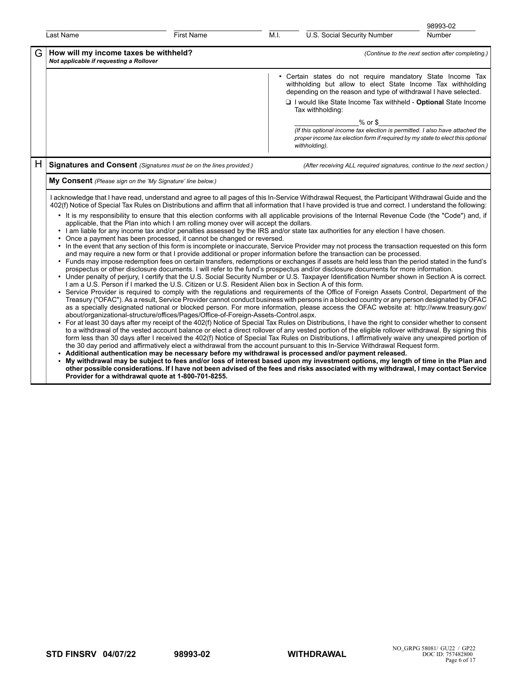| Last Name                                    | <b>First Name</b>                                                                                                                                                                                                                                                                                                                                               | M.I.<br>U.S. Social Security Number<br>Number                                                                                                                                                                                                                                                                                                                                                                                                                                                                                                                                                                                                                                                                                                                                                                                                                                                                                                                                                                                                                                                                                                                                                                                                                                                                                                                                                                                                                                                                                                                                                                                                                                                                                                                                                                                                                                                                                                                                                                                                                                                                                                                                                                                                                                                                                                                                                                                                                                                                                                                                                                                                                                                                                                                 |
|----------------------------------------------|-----------------------------------------------------------------------------------------------------------------------------------------------------------------------------------------------------------------------------------------------------------------------------------------------------------------------------------------------------------------|---------------------------------------------------------------------------------------------------------------------------------------------------------------------------------------------------------------------------------------------------------------------------------------------------------------------------------------------------------------------------------------------------------------------------------------------------------------------------------------------------------------------------------------------------------------------------------------------------------------------------------------------------------------------------------------------------------------------------------------------------------------------------------------------------------------------------------------------------------------------------------------------------------------------------------------------------------------------------------------------------------------------------------------------------------------------------------------------------------------------------------------------------------------------------------------------------------------------------------------------------------------------------------------------------------------------------------------------------------------------------------------------------------------------------------------------------------------------------------------------------------------------------------------------------------------------------------------------------------------------------------------------------------------------------------------------------------------------------------------------------------------------------------------------------------------------------------------------------------------------------------------------------------------------------------------------------------------------------------------------------------------------------------------------------------------------------------------------------------------------------------------------------------------------------------------------------------------------------------------------------------------------------------------------------------------------------------------------------------------------------------------------------------------------------------------------------------------------------------------------------------------------------------------------------------------------------------------------------------------------------------------------------------------------------------------------------------------------------------------------------------------|
| G<br>Not applicable if requesting a Rollover | How will my income taxes be withheld?                                                                                                                                                                                                                                                                                                                           | (Continue to the next section after completing.)                                                                                                                                                                                                                                                                                                                                                                                                                                                                                                                                                                                                                                                                                                                                                                                                                                                                                                                                                                                                                                                                                                                                                                                                                                                                                                                                                                                                                                                                                                                                                                                                                                                                                                                                                                                                                                                                                                                                                                                                                                                                                                                                                                                                                                                                                                                                                                                                                                                                                                                                                                                                                                                                                                              |
|                                              |                                                                                                                                                                                                                                                                                                                                                                 | • Certain states do not require mandatory State Income Tax<br>withholding but allow to elect State Income Tax withholding<br>depending on the reason and type of withdrawal I have selected.<br>I I would like State Income Tax withheld - Optional State Income<br>Tax withholding:                                                                                                                                                                                                                                                                                                                                                                                                                                                                                                                                                                                                                                                                                                                                                                                                                                                                                                                                                                                                                                                                                                                                                                                                                                                                                                                                                                                                                                                                                                                                                                                                                                                                                                                                                                                                                                                                                                                                                                                                                                                                                                                                                                                                                                                                                                                                                                                                                                                                          |
|                                              |                                                                                                                                                                                                                                                                                                                                                                 | % or \$<br>(If this optional income tax election is permitted. I also have attached the<br>proper income tax election form if required by my state to elect this optional<br>withholding).                                                                                                                                                                                                                                                                                                                                                                                                                                                                                                                                                                                                                                                                                                                                                                                                                                                                                                                                                                                                                                                                                                                                                                                                                                                                                                                                                                                                                                                                                                                                                                                                                                                                                                                                                                                                                                                                                                                                                                                                                                                                                                                                                                                                                                                                                                                                                                                                                                                                                                                                                                    |
| H                                            | Signatures and Consent (Signatures must be on the lines provided.)                                                                                                                                                                                                                                                                                              | (After receiving ALL required signatures, continue to the next section.)                                                                                                                                                                                                                                                                                                                                                                                                                                                                                                                                                                                                                                                                                                                                                                                                                                                                                                                                                                                                                                                                                                                                                                                                                                                                                                                                                                                                                                                                                                                                                                                                                                                                                                                                                                                                                                                                                                                                                                                                                                                                                                                                                                                                                                                                                                                                                                                                                                                                                                                                                                                                                                                                                      |
|                                              | My Consent (Please sign on the 'My Signature' line below.)                                                                                                                                                                                                                                                                                                      |                                                                                                                                                                                                                                                                                                                                                                                                                                                                                                                                                                                                                                                                                                                                                                                                                                                                                                                                                                                                                                                                                                                                                                                                                                                                                                                                                                                                                                                                                                                                                                                                                                                                                                                                                                                                                                                                                                                                                                                                                                                                                                                                                                                                                                                                                                                                                                                                                                                                                                                                                                                                                                                                                                                                                               |
|                                              | applicable, that the Plan into which I am rolling money over will accept the dollars.<br>• Once a payment has been processed, it cannot be changed or reversed.<br>I am a U.S. Person if I marked the U.S. Citizen or U.S. Resident Alien box in Section A of this form.<br>about/organizational-structure/offices/Pages/Office-of-Foreign-Assets-Control.aspx. | I acknowledge that I have read, understand and agree to all pages of this In-Service Withdrawal Request, the Participant Withdrawal Guide and the<br>402(f) Notice of Special Tax Rules on Distributions and affirm that all information that I have provided is true and correct. I understand the following:<br>• It is my responsibility to ensure that this election conforms with all applicable provisions of the Internal Revenue Code (the "Code") and, if<br>• I am liable for any income tax and/or penalties assessed by the IRS and/or state tax authorities for any election I have chosen.<br>• In the event that any section of this form is incomplete or inaccurate, Service Provider may not process the transaction requested on this form<br>and may require a new form or that I provide additional or proper information before the transaction can be processed.<br>• Funds may impose redemption fees on certain transfers, redemptions or exchanges if assets are held less than the period stated in the fund's<br>prospectus or other disclosure documents. I will refer to the fund's prospectus and/or disclosure documents for more information.<br>• Under penalty of perjury, I certify that the U.S. Social Security Number or U.S. Taxpayer Identification Number shown in Section A is correct.<br>Service Provider is required to comply with the regulations and requirements of the Office of Foreign Assets Control, Department of the<br>Treasury ("OFAC"). As a result, Service Provider cannot conduct business with persons in a blocked country or any person designated by OFAC<br>as a specially designated national or blocked person. For more information, please access the OFAC website at: http://www.treasury.gov/<br>• For at least 30 days after my receipt of the 402(f) Notice of Special Tax Rules on Distributions, I have the right to consider whether to consent<br>to a withdrawal of the vested account balance or elect a direct rollover of any vested portion of the eligible rollover withdrawal. By signing this<br>form less than 30 days after I received the 402(f) Notice of Special Tax Rules on Distributions, I affirmatively waive any unexpired portion of<br>the 30 day period and affirmatively elect a withdrawal from the account pursuant to this In-Service Withdrawal Request form.<br>Additional authentication may be necessary before my withdrawal is processed and/or payment released.<br>My withdrawal may be subject to fees and/or loss of interest based upon my investment options, my length of time in the Plan and<br>other possible considerations. If I have not been advised of the fees and risks associated with my withdrawal, I may contact Service |

98993-02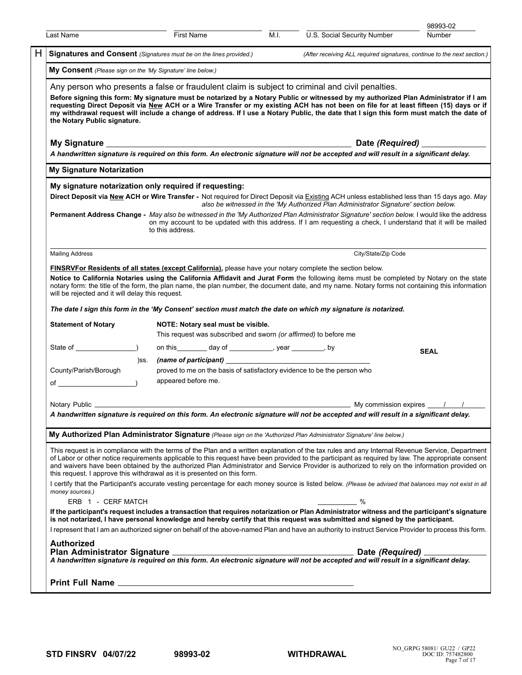|                                                                                                                                                                                                      |                                                                                                        |      |                                                                                                                                                                                                                                                                                                                                                                                                                                                                                                                             | 98993-02    |  |  |  |  |
|------------------------------------------------------------------------------------------------------------------------------------------------------------------------------------------------------|--------------------------------------------------------------------------------------------------------|------|-----------------------------------------------------------------------------------------------------------------------------------------------------------------------------------------------------------------------------------------------------------------------------------------------------------------------------------------------------------------------------------------------------------------------------------------------------------------------------------------------------------------------------|-------------|--|--|--|--|
| Last Name                                                                                                                                                                                            | First Name                                                                                             | M.I. | U.S. Social Security Number                                                                                                                                                                                                                                                                                                                                                                                                                                                                                                 | Number      |  |  |  |  |
| <b>Signatures and Consent</b> (Signatures must be on the lines provided.)                                                                                                                            |                                                                                                        |      | (After receiving ALL required signatures, continue to the next section.)                                                                                                                                                                                                                                                                                                                                                                                                                                                    |             |  |  |  |  |
| My Consent (Please sign on the 'My Signature' line below.)                                                                                                                                           |                                                                                                        |      |                                                                                                                                                                                                                                                                                                                                                                                                                                                                                                                             |             |  |  |  |  |
| the Notary Public signature.                                                                                                                                                                         |                                                                                                        |      | Any person who presents a false or fraudulent claim is subject to criminal and civil penalties.<br>Before signing this form: My signature must be notarized by a Notary Public or witnessed by my authorized Plan Administrator if I am<br>requesting Direct Deposit via New ACH or a Wire Transfer or my existing ACH has not been on file for at least fifteen (15) days or if<br>my withdrawal request will include a change of address. If I use a Notary Public, the date that I sign this form must match the date of |             |  |  |  |  |
|                                                                                                                                                                                                      |                                                                                                        |      |                                                                                                                                                                                                                                                                                                                                                                                                                                                                                                                             |             |  |  |  |  |
|                                                                                                                                                                                                      |                                                                                                        |      | A handwritten signature is required on this form. An electronic signature will not be accepted and will result in a significant delay.                                                                                                                                                                                                                                                                                                                                                                                      |             |  |  |  |  |
| <b>My Signature Notarization</b>                                                                                                                                                                     |                                                                                                        |      |                                                                                                                                                                                                                                                                                                                                                                                                                                                                                                                             |             |  |  |  |  |
| My signature notarization only required if requesting:                                                                                                                                               |                                                                                                        |      |                                                                                                                                                                                                                                                                                                                                                                                                                                                                                                                             |             |  |  |  |  |
|                                                                                                                                                                                                      | to this address.                                                                                       |      | Direct Deposit via New ACH or Wire Transfer - Not required for Direct Deposit via Existing ACH unless established less than 15 days ago. May<br>also be witnessed in the 'My Authorized Plan Administrator Signature' section below.<br>Permanent Address Change - May also be witnessed in the 'My Authorized Plan Administrator Signature' section below. I would like the address<br>on my account to be updated with this address. If I am requesting a check, I understand that it will be mailed                      |             |  |  |  |  |
| <b>Mailing Address</b>                                                                                                                                                                               |                                                                                                        |      | City/State/Zip Code                                                                                                                                                                                                                                                                                                                                                                                                                                                                                                         |             |  |  |  |  |
| <b>FINSRVFor Residents of all states (except California)</b> , please have your notary complete the section below.<br>will be rejected and it will delay this request.<br><b>Statement of Notary</b> | NOTE: Notary seal must be visible.<br>This request was subscribed and sworn (or affirmed) to before me |      | Notice to California Notaries using the California Affidavit and Jurat Form the following items must be completed by Notary on the state<br>notary form: the title of the form, the plan name, the plan number, the document date, and my name. Notary forms not containing this information<br>The date I sign this form in the 'My Consent' section must match the date on which my signature is notarized.                                                                                                               |             |  |  |  |  |
|                                                                                                                                                                                                      | on this _________ day of _____________, year _________, by                                             |      |                                                                                                                                                                                                                                                                                                                                                                                                                                                                                                                             | <b>SEAL</b> |  |  |  |  |
| )SS.<br>County/Parish/Borough<br>$of$ $\qquad \qquad$ $)$                                                                                                                                            | proved to me on the basis of satisfactory evidence to be the person who<br>appeared before me.         |      |                                                                                                                                                                                                                                                                                                                                                                                                                                                                                                                             |             |  |  |  |  |
| Notary Public _                                                                                                                                                                                      |                                                                                                        |      | My commission expires 11/1/1                                                                                                                                                                                                                                                                                                                                                                                                                                                                                                |             |  |  |  |  |
|                                                                                                                                                                                                      |                                                                                                        |      | A handwritten signature is required on this form. An electronic signature will not be accepted and will result in a significant delay.                                                                                                                                                                                                                                                                                                                                                                                      |             |  |  |  |  |
|                                                                                                                                                                                                      |                                                                                                        |      | My Authorized Plan Administrator Signature (Please sign on the 'Authorized Plan Administrator Signature' line below.)                                                                                                                                                                                                                                                                                                                                                                                                       |             |  |  |  |  |
| this request. I approve this withdrawal as it is presented on this form.                                                                                                                             |                                                                                                        |      | This request is in compliance with the terms of the Plan and a written explanation of the tax rules and any Internal Revenue Service, Department<br>of Labor or other notice requirements applicable to this request have been provided to the participant as required by law. The appropriate consent<br>and waivers have been obtained by the authorized Plan Administrator and Service Provider is authorized to rely on the information provided on                                                                     |             |  |  |  |  |
| money sources.)<br>ERB 1 - CERF MATCH                                                                                                                                                                |                                                                                                        |      | I certify that the Participant's accurate vesting percentage for each money source is listed below. (Please be advised that balances may not exist in all<br>%                                                                                                                                                                                                                                                                                                                                                              |             |  |  |  |  |
|                                                                                                                                                                                                      |                                                                                                        |      | If the participant's request includes a transaction that requires notarization or Plan Administrator witness and the participant's signature                                                                                                                                                                                                                                                                                                                                                                                |             |  |  |  |  |
|                                                                                                                                                                                                      |                                                                                                        |      | is not notarized, I have personal knowledge and hereby certify that this request was submitted and signed by the participant.<br>I represent that I am an authorized signer on behalf of the above-named Plan and have an authority to instruct Service Provider to process this form.                                                                                                                                                                                                                                      |             |  |  |  |  |
| <b>Authorized</b>                                                                                                                                                                                    |                                                                                                        |      |                                                                                                                                                                                                                                                                                                                                                                                                                                                                                                                             |             |  |  |  |  |
|                                                                                                                                                                                                      |                                                                                                        |      | Date <i>(Required)</i> ___<br>A handwritten signature is required on this form. An electronic signature will not be accepted and will result in a significant delay.                                                                                                                                                                                                                                                                                                                                                        |             |  |  |  |  |
|                                                                                                                                                                                                      |                                                                                                        |      |                                                                                                                                                                                                                                                                                                                                                                                                                                                                                                                             |             |  |  |  |  |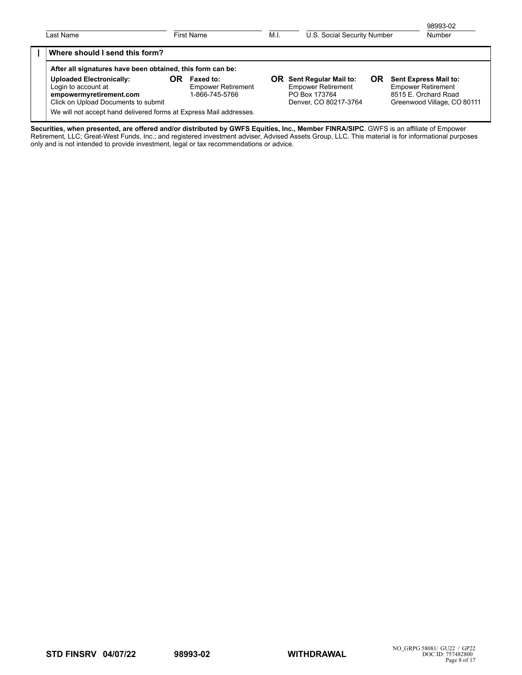| 98993-02<br><b>Number</b>                                                                                 |           | U.S. Social Security Number                                                                  | M.I. | First Name                                                      |    | Last Name                                                                                                                                                                              |  |
|-----------------------------------------------------------------------------------------------------------|-----------|----------------------------------------------------------------------------------------------|------|-----------------------------------------------------------------|----|----------------------------------------------------------------------------------------------------------------------------------------------------------------------------------------|--|
|                                                                                                           |           |                                                                                              |      |                                                                 |    | Where should I send this form?                                                                                                                                                         |  |
| Sent Express Mail to:<br><b>Empower Retirement</b><br>8515 E. Orchard Road<br>Greenwood Village, CO 80111 | <b>OR</b> | Sent Regular Mail to:<br><b>Empower Retirement</b><br>PO Box 173764<br>Denver, CO 80217-3764 | OR.  | <b>Faxed to:</b><br><b>Empower Retirement</b><br>1-866-745-5766 | OR | After all signatures have been obtained, this form can be:<br><b>Uploaded Electronically:</b><br>Login to account at<br>empowermyretirement.com<br>Click on Upload Documents to submit |  |
|                                                                                                           |           |                                                                                              |      |                                                                 |    | We will not accept hand delivered forms at Express Mail addresses.                                                                                                                     |  |

**Securities, when presented, are offered and/or distributed by GWFS Equities, Inc., Member FINRA/SIPC**. GWFS is an affiliate of Empower Retirement, LLC; Great-West Funds, Inc.; and registered investment adviser, Advised Assets Group, LLC. This material is for informational purposes only and is not intended to provide investment, legal or tax recommendations or advice.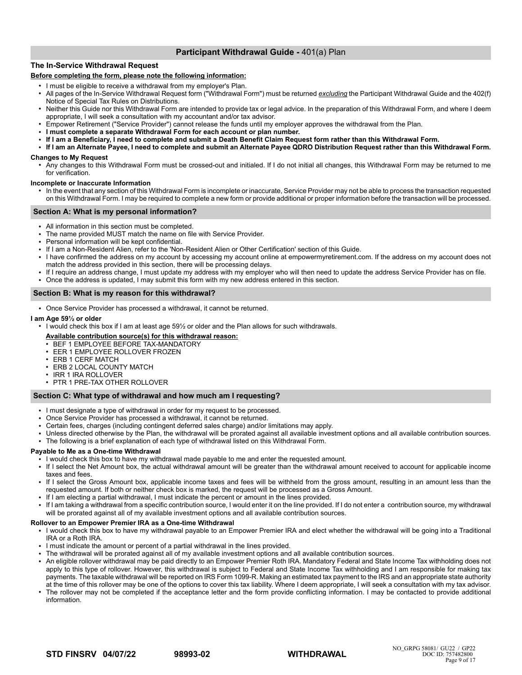# **Participant Withdrawal Guide -** 401(a) Plan

# **The In-Service Withdrawal Request**

### **Before completing the form, please note the following information:**

- I must be eligible to receive a withdrawal from my employer's Plan.
- All pages of the In-Service Withdrawal Request form ("Withdrawal Form") must be returned *excluding* the Participant Withdrawal Guide and the 402(f) Notice of Special Tax Rules on Distributions.
- Neither this Guide nor this Withdrawal Form are intended to provide tax or legal advice. In the preparation of this Withdrawal Form, and where I deem appropriate, I will seek a consultation with my accountant and/or tax advisor.
- Empower Retirement ("Service Provider") cannot release the funds until my employer approves the withdrawal from the Plan.
- **I must complete a separate Withdrawal Form for each account or plan number.**
- If I am a Beneficiary, I need to complete and submit a Death Benefit Claim Request form rather than this Withdrawal Form.
- **If I am an Alternate Payee, I need to complete and submit an Alternate Payee QDRO Distribution Request rather than this Withdrawal Form.**

# **Changes to My Request**

● Any changes to this Withdrawal Form must be crossed-out and initialed. If I do not initial all changes, this Withdrawal Form may be returned to me for verification.

#### **Incomplete or Inaccurate Information**

● In the event that any section of this Withdrawal Form is incomplete or inaccurate, Service Provider may not be able to process the transaction requested on this Withdrawal Form. I may be required to complete a new form or provide additional or proper information before the transaction will be processed.

### **Section A: What is my personal information?**

- All information in this section must be completed.
- The name provided MUST match the name on file with Service Provider.
- Personal information will be kept confidential.
- If I am a Non-Resident Alien, refer to the 'Non-Resident Alien or Other Certification' section of this Guide.
- I have confirmed the address on my account by accessing my account online at empowermyretirement.com. If the address on my account does not match the address provided in this section, there will be processing delays.
- If I require an address change, I must update my address with my employer who will then need to update the address Service Provider has on file.
- Once the address is updated, I may submit this form with my new address entered in this section.

### **Section B: What is my reason for this withdrawal?**

• Once Service Provider has processed a withdrawal, it cannot be returned.

### **I am Age 59½ or older**

- I would check this box if I am at least age 59½ or older and the Plan allows for such withdrawals.
- **Available contribution source(s) for this withdrawal reason:**
- BEF 1 EMPLOYEE BEFORE TAX-MANDATORY
- EER 1 EMPLOYEE ROLLOVER FROZEN
- ERB 1 CERF MATCH
- ERB 2 LOCAL COUNTY MATCH
- IRR 1 IRA ROLLOVER
- PTR 1 PRE-TAX OTHER ROLLOVER

### **Section C: What type of withdrawal and how much am I requesting?**

- I must designate a type of withdrawal in order for my request to be processed.
- Once Service Provider has processed a withdrawal, it cannot be returned.
- Certain fees, charges (including contingent deferred sales charge) and/or limitations may apply.
- Unless directed otherwise by the Plan, the withdrawal will be prorated against all available investment options and all available contribution sources.
- The following is a brief explanation of each type of withdrawal listed on this Withdrawal Form.

### **Payable to Me as a One-time Withdrawal**

- I would check this box to have my withdrawal made payable to me and enter the requested amount.
- If I select the Net Amount box, the actual withdrawal amount will be greater than the withdrawal amount received to account for applicable income taxes and fees.
- If I select the Gross Amount box, applicable income taxes and fees will be withheld from the gross amount, resulting in an amount less than the requested amount. If both or neither check box is marked, the request will be processed as a Gross Amount.
- If I am electing a partial withdrawal, I must indicate the percent or amount in the lines provided.
- If I am taking a withdrawal from a specific contribution source, I would enter it on the line provided. If I do not enter a contribution source, my withdrawal will be prorated against all of my available investment options and all available contribution sources.

### **Rollover to an Empower Premier IRA as a One-time Withdrawal**

- I would check this box to have my withdrawal payable to an Empower Premier IRA and elect whether the withdrawal will be going into a Traditional IRA or a Roth IRA.
- I must indicate the amount or percent of a partial withdrawal in the lines provided.
- The withdrawal will be prorated against all of my available investment options and all available contribution sources.
- An eligible rollover withdrawal may be paid directly to an Empower Premier Roth IRA. Mandatory Federal and State Income Tax withholding does not apply to this type of rollover. However, this withdrawal is subject to Federal and State Income Tax withholding and I am responsible for making tax payments. The taxable withdrawal will be reported on IRS Form 1099-R. Making an estimated tax payment to the IRS and an appropriate state authority at the time of this rollover may be one of the options to cover this tax liability. Where I deem appropriate, I will seek a consultation with my tax advisor.
- The rollover may not be completed if the acceptance letter and the form provide conflicting information. I may be contacted to provide additional information.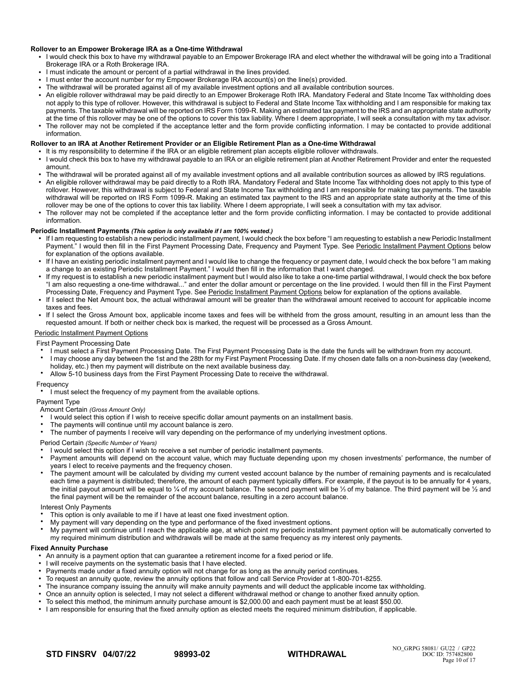### **Rollover to an Empower Brokerage IRA as a One-time Withdrawal**

- I would check this box to have my withdrawal payable to an Empower Brokerage IRA and elect whether the withdrawal will be going into a Traditional Brokerage IRA or a Roth Brokerage IRA.
- I must indicate the amount or percent of a partial withdrawal in the lines provided.
- I must enter the account number for my Empower Brokerage IRA account(s) on the line(s) provided.
- The withdrawal will be prorated against all of my available investment options and all available contribution sources.
- An eligible rollover withdrawal may be paid directly to an Empower Brokerage Roth IRA. Mandatory Federal and State Income Tax withholding does not apply to this type of rollover. However, this withdrawal is subject to Federal and State Income Tax withholding and I am responsible for making tax payments. The taxable withdrawal will be reported on IRS Form 1099-R. Making an estimated tax payment to the IRS and an appropriate state authority at the time of this rollover may be one of the options to cover this tax liability. Where I deem appropriate, I will seek a consultation with my tax advisor.
- The rollover may not be completed if the acceptance letter and the form provide conflicting information. I may be contacted to provide additional information.

### **Rollover to an IRA at Another Retirement Provider or an Eligible Retirement Plan as a One-time Withdrawal**

- It is my responsibility to determine if the IRA or an eligible retirement plan accepts eligible rollover withdrawals.
- I would check this box to have my withdrawal payable to an IRA or an eligible retirement plan at Another Retirement Provider and enter the requested amount.
- The withdrawal will be prorated against all of my available investment options and all available contribution sources as allowed by IRS regulations.
- An eligible rollover withdrawal may be paid directly to a Roth IRA. Mandatory Federal and State Income Tax withholding does not apply to this type of rollover. However, this withdrawal is subject to Federal and State Income Tax withholding and I am responsible for making tax payments. The taxable withdrawal will be reported on IRS Form 1099-R. Making an estimated tax payment to the IRS and an appropriate state authority at the time of this rollover may be one of the options to cover this tax liability. Where I deem appropriate, I will seek a consultation with my tax advisor.
- The rollover may not be completed if the acceptance letter and the form provide conflicting information. I may be contacted to provide additional information.

### **Periodic Installment Payments** *(This option is only available if I am 100% vested.)*

- If I am requesting to establish a new periodic installment payment, I would check the box before "I am requesting to establish a new Periodic Installment Payment." I would then fill in the First Payment Processing Date, Frequency and Payment Type. See Periodic Installment Payment Options below for explanation of the options available.
- If I have an existing periodic installment payment and I would like to change the frequency or payment date, I would check the box before "I am making a change to an existing Periodic Installment Payment." I would then fill in the information that I want changed.
- If my request is to establish a new periodic installment payment but I would also like to take a one-time partial withdrawal, I would check the box before "I am also requesting a one-time withdrawal..." and enter the dollar amount or percentage on the line provided. I would then fill in the First Payment Processing Date, Frequency and Payment Type. See Periodic Installment Payment Options below for explanation of the options available.
- If I select the Net Amount box, the actual withdrawal amount will be greater than the withdrawal amount received to account for applicable income taxes and fees.
- If I select the Gross Amount box, applicable income taxes and fees will be withheld from the gross amount, resulting in an amount less than the requested amount. If both or neither check box is marked, the request will be processed as a Gross Amount.

### Periodic Installment Payment Options

#### First Payment Processing Date

- I must select a First Payment Processing Date. The First Payment Processing Date is the date the funds will be withdrawn from my account.
- I may choose any day between the 1st and the 28th for my First Payment Processing Date. If my chosen date falls on a non-business day (weekend, holiday, etc.) then my payment will distribute on the next available business day.
- Allow 5-10 business days from the First Payment Processing Date to receive the withdrawal.

#### Frequency

• I must select the frequency of my payment from the available options.

### Payment Type

Amount Certain *(Gross Amount Only)*

- I would select this option if I wish to receive specific dollar amount payments on an installment basis.
- The payments will continue until my account balance is zero.
- The number of payments I receive will vary depending on the performance of my underlying investment options.

#### Period Certain *(Specific Number of Years)*

- I would select this option if I wish to receive a set number of periodic installment payments.
- Payment amounts will depend on the account value, which may fluctuate depending upon my chosen investments' performance, the number of years I elect to receive payments and the frequency chosen.
- The payment amount will be calculated by dividing my current vested account balance by the number of remaining payments and is recalculated each time a payment is distributed; therefore, the amount of each payment typically differs. For example, if the payout is to be annually for 4 years, the initial payout amount will be equal to ¼ of my account balance. The second payment will be ¼ of my balance. The third payment will be ½ and the final payment will be the remainder of the account balance, resulting in a zero account balance.

### Interest Only Payments

- This option is only available to me if I have at least one fixed investment option.
- My payment will vary depending on the type and performance of the fixed investment options.
- My payment will continue until I reach the applicable age, at which point my periodic installment payment option will be automatically converted to my required minimum distribution and withdrawals will be made at the same frequency as my interest only payments.

#### **Fixed Annuity Purchase**

- An annuity is a payment option that can guarantee a retirement income for a fixed period or life.
- I will receive payments on the systematic basis that I have elected.
- Payments made under a fixed annuity option will not change for as long as the annuity period continues.
- To request an annuity quote, review the annuity options that follow and call Service Provider at 1-800-701-8255.
- The insurance company issuing the annuity will make annuity payments and will deduct the applicable income tax withholding.
- Once an annuity option is selected, I may not select a different withdrawal method or change to another fixed annuity option.
- To select this method, the minimum annuity purchase amount is \$2,000.00 and each payment must be at least \$50.00.
- I am responsible for ensuring that the fixed annuity option as elected meets the required minimum distribution, if applicable.

**STD FINSRV ][04/07/22)( 98993-02 WITHDRAWAL**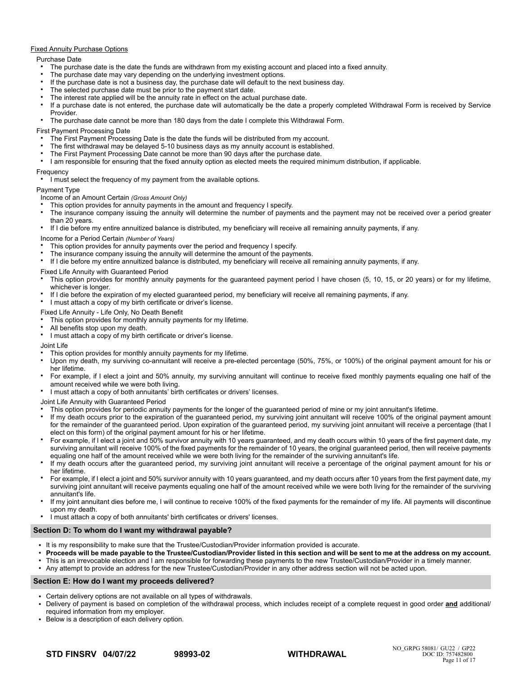### Fixed Annuity Purchase Options

### Purchase Date

- The purchase date is the date the funds are withdrawn from my existing account and placed into a fixed annuity.
- The purchase date may vary depending on the underlying investment options.
- If the purchase date is not a business day, the purchase date will default to the next business day.
- The selected purchase date must be prior to the payment start date.
- The interest rate applied will be the annuity rate in effect on the actual purchase date.
- If a purchase date is not entered, the purchase date will automatically be the date a properly completed Withdrawal Form is received by Service Provider.
- The purchase date cannot be more than 180 days from the date I complete this Withdrawal Form.

First Payment Processing Date

- The First Payment Processing Date is the date the funds will be distributed from my account.
- The first withdrawal may be delayed 5-10 business days as my annuity account is established.
- The First Payment Processing Date cannot be more than 90 days after the purchase date.
- I am responsible for ensuring that the fixed annuity option as elected meets the required minimum distribution, if applicable.

### **Frequency**

● I must select the frequency of my payment from the available options.

# Payment Type

Income of an Amount Certain *(Gross Amount Only)*

- This option provides for annuity payments in the amount and frequency I specify.
- The insurance company issuing the annuity will determine the number of payments and the payment may not be received over a period greater than 20 years.

● If I die before my entire annuitized balance is distributed, my beneficiary will receive all remaining annuity payments, if any.

Income for a Period Certain *(Number of Years)*

- This option provides for annuity payments over the period and frequency I specify.
- The insurance company issuing the annuity will determine the amount of the payments.
- If I die before my entire annuitized balance is distributed, my beneficiary will receive all remaining annuity payments, if any.

### Fixed Life Annuity with Guaranteed Period

- This option provides for monthly annuity payments for the guaranteed payment period I have chosen (5, 10, 15, or 20 years) or for my lifetime, whichever is longer.
- If I die before the expiration of my elected guaranteed period, my beneficiary will receive all remaining payments, if any.
- I must attach a copy of my birth certificate or driver's license.

Fixed Life Annuity - Life Only, No Death Benefit

- This option provides for monthly annuity payments for my lifetime.
- All benefits stop upon my death.
- I must attach a copy of my birth certificate or driver's license.

Joint Life

- This option provides for monthly annuity payments for my lifetime.
- Upon my death, my surviving co-annuitant will receive a pre-elected percentage (50%, 75%, or 100%) of the original payment amount for his or her lifetime.
- For example, if I elect a joint and 50% annuity, my surviving annuitant will continue to receive fixed monthly payments equaling one half of the amount received while we were both living.
- I must attach a copy of both annuitants' birth certificates or drivers' licenses.

Joint Life Annuity with Guaranteed Period

- This option provides for periodic annuity payments for the longer of the guaranteed period of mine or my joint annuitant's lifetime.
- If my death occurs prior to the expiration of the guaranteed period, my surviving joint annuitant will receive 100% of the original payment amount for the remainder of the guaranteed period. Upon expiration of the guaranteed period, my surviving joint annuitant will receive a percentage (that I elect on this form) of the original payment amount for his or her lifetime.
- For example, if I elect a joint and 50% survivor annuity with 10 years guaranteed, and my death occurs within 10 years of the first payment date, my surviving annuitant will receive 100% of the fixed payments for the remainder of 10 years, the original guaranteed period, then will receive payments equaling one half of the amount received while we were both living for the remainder of the surviving annuitant's life.
- If my death occurs after the guaranteed period, my surviving joint annuitant will receive a percentage of the original payment amount for his or her lifetime.
- For example, if I elect a joint and 50% survivor annuity with 10 years guaranteed, and my death occurs after 10 years from the first payment date, my surviving joint annuitant will receive payments equaling one half of the amount received while we were both living for the remainder of the surviving annuitant's life.
- If my joint annuitant dies before me, I will continue to receive 100% of the fixed payments for the remainder of my life. All payments will discontinue upon my death.
- I must attach a copy of both annuitants' birth certificates or drivers' licenses.

### **Section D: To whom do I want my withdrawal payable?**

- It is my responsibility to make sure that the Trustee/Custodian/Provider information provided is accurate.
- **Proceeds will be made payable to the Trustee/Custodian/Provider listed in this section and will be sent to me at the address on my account.**
- This is an irrevocable election and I am responsible for forwarding these payments to the new Trustee/Custodian/Provider in a timely manner.
- Any attempt to provide an address for the new Trustee/Custodian/Provider in any other address section will not be acted upon.

### **Section E: How do I want my proceeds delivered?**

- Certain delivery options are not available on all types of withdrawals.
- Delivery of payment is based on completion of the withdrawal process, which includes receipt of a complete request in good order **and** additional/ required information from my employer.
- Below is a description of each delivery option.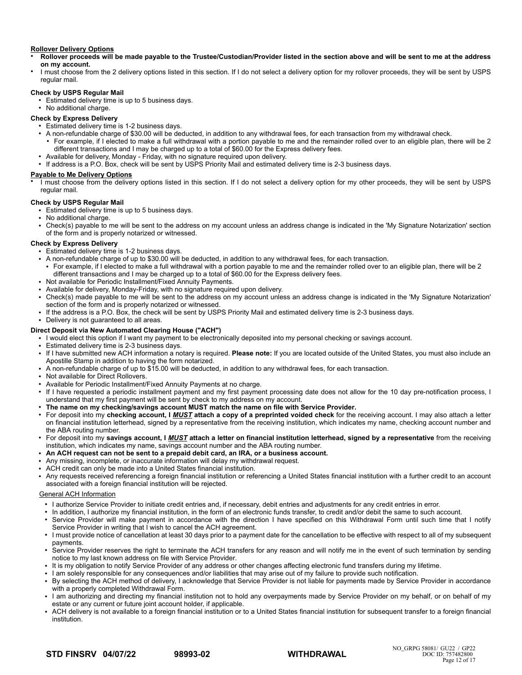### **Rollover Delivery Options**

- **Rollover proceeds will be made payable to the Trustee/Custodian/Provider listed in the section above and will be sent to me at the address on my account.**
- I must choose from the 2 delivery options listed in this section. If I do not select a delivery option for my rollover proceeds, they will be sent by USPS regular mail.

## **Check by USPS Regular Mail**

- Estimated delivery time is up to 5 business days.
- No additional charge.

# **Check by Express Delivery**

- Estimated delivery time is 1-2 business days.
- A non-refundable charge of \$30.00 will be deducted, in addition to any withdrawal fees, for each transaction from my withdrawal check.
- For example, if I elected to make a full withdrawal with a portion payable to me and the remainder rolled over to an eligible plan, there will be 2 different transactions and I may be charged up to a total of \$60.00 for the Express delivery fees.
- Available for delivery, Monday Friday, with no signature required upon delivery.
- If address is a P.O. Box, check will be sent by USPS Priority Mail and estimated delivery time is 2-3 business days.

# **Payable to Me Delivery Options**

I must choose from the delivery options listed in this section. If I do not select a delivery option for my other proceeds, they will be sent by USPS regular mail.

### **Check by USPS Regular Mail**

●

- Estimated delivery time is up to 5 business days.
- No additional charge.
- Check(s) payable to me will be sent to the address on my account unless an address change is indicated in the 'My Signature Notarization' section of the form and is properly notarized or witnessed.

# **Check by Express Delivery**

- **Estimated delivery time is 1-2 business days.**
- A non-refundable charge of up to \$30.00 will be deducted, in addition to any withdrawal fees, for each transaction.
	- For example, if I elected to make a full withdrawal with a portion payable to me and the remainder rolled over to an eligible plan, there will be 2 different transactions and I may be charged up to a total of \$60.00 for the Express delivery fees.
- Not available for Periodic Installment/Fixed Annuity Payments.
- Available for delivery, Monday-Friday, with no signature required upon delivery.
- Check(s) made payable to me will be sent to the address on my account unless an address change is indicated in the 'My Signature Notarization' section of the form and is properly notarized or witnessed.
- If the address is a P.O. Box, the check will be sent by USPS Priority Mail and estimated delivery time is 2-3 business days.
- Delivery is not guaranteed to all areas.

# **Direct Deposit via New Automated Clearing House ("ACH")**

- I would elect this option if I want my payment to be electronically deposited into my personal checking or savings account.
- Estimated delivery time is 2-3 business days.
- If I have submitted new ACH information a notary is required. **Please note:** If you are located outside of the United States, you must also include an Apostille Stamp in addition to having the form notarized.
- A non-refundable charge of up to \$15.00 will be deducted, in addition to any withdrawal fees, for each transaction.

Not available for Direct Rollovers.

- Available for Periodic Installment/Fixed Annuity Payments at no charge.
- If I have requested a periodic installment payment and my first payment processing date does not allow for the 10 day pre-notification process, I understand that my first payment will be sent by check to my address on my account.
- **The name on my checking/savings account MUST match the name on file with Service Provider.**
- For deposit into my **checking account, I** *MUST* **attach a copy of a preprinted voided check** for the receiving account. I may also attach a letter on financial institution letterhead, signed by a representative from the receiving institution, which indicates my name, checking account number and the ABA routing number.
- For deposit into my **savings account, I** *MUST* **attach a letter on financial institution letterhead, signed by a representative** from the receiving institution, which indicates my name, savings account number and the ABA routing number.
- **An ACH request can not be sent to a prepaid debit card, an IRA, or a business account.**
- Any missing, incomplete, or inaccurate information will delay my withdrawal request.
- ACH credit can only be made into a United States financial institution.
- Any requests received referencing a foreign financial institution or referencing a United States financial institution with a further credit to an account associated with a foreign financial institution will be rejected.

# General ACH Information

- I authorize Service Provider to initiate credit entries and, if necessary, debit entries and adjustments for any credit entries in error.
- In addition, I authorize my financial institution, in the form of an electronic funds transfer, to credit and/or debit the same to such account.
- Service Provider will make payment in accordance with the direction I have specified on this Withdrawal Form until such time that I notify Service Provider in writing that I wish to cancel the ACH agreement.
- I must provide notice of cancellation at least 30 days prior to a payment date for the cancellation to be effective with respect to all of my subsequent payments.
- Service Provider reserves the right to terminate the ACH transfers for any reason and will notify me in the event of such termination by sending notice to my last known address on file with Service Provider.
- It is my obligation to notify Service Provider of any address or other changes affecting electronic fund transfers during my lifetime.
- I am solely responsible for any consequences and/or liabilities that may arise out of my failure to provide such notification.
- By selecting the ACH method of delivery, I acknowledge that Service Provider is not liable for payments made by Service Provider in accordance with a properly completed Withdrawal Form.
- I am authorizing and directing my financial institution not to hold any overpayments made by Service Provider on my behalf, or on behalf of my estate or any current or future joint account holder, if applicable.
- ACH delivery is not available to a foreign financial institution or to a United States financial institution for subsequent transfer to a foreign financial institution.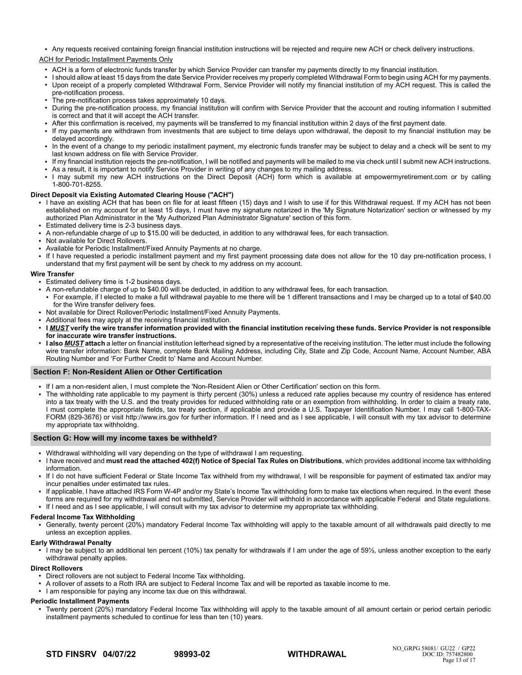● Any requests received containing foreign financial institution instructions will be rejected and require new ACH or check delivery instructions.

### ACH for Periodic Installment Payments Only

- ACH is a form of electronic funds transfer by which Service Provider can transfer my payments directly to my financial institution.
- I should allow at least 15 days from the date Service Provider receives my properly completed Withdrawal Form to begin using ACH for my payments. ● Upon receipt of a properly completed Withdrawal Form, Service Provider will notify my financial institution of my ACH request. This is called the pre-notification process.
- The pre-notification process takes approximately 10 days.
- During the pre-notification process, my financial institution will confirm with Service Provider that the account and routing information I submitted is correct and that it will accept the ACH transfer.
- After this confirmation is received, my payments will be transferred to my financial institution within 2 days of the first payment date.
- If my payments are withdrawn from investments that are subject to time delays upon withdrawal, the deposit to my financial institution may be delayed accordingly.
- In the event of a change to my periodic installment payment, my electronic funds transfer may be subject to delay and a check will be sent to my last known address on file with Service Provider.
- If my financial institution rejects the pre-notification, I will be notified and payments will be mailed to me via check until I submit new ACH instructions.
- As a result, it is important to notify Service Provider in writing of any changes to my mailing address.
- I may submit my new ACH instructions on the Direct Deposit (ACH) form which is available at empowermyretirement.com or by calling 1-800-701-8255.

### **Direct Deposit via Existing Automated Clearing House ("ACH")**

- I have an existing ACH that has been on file for at least fifteen (15) days and I wish to use if for this Withdrawal request. If my ACH has not been established on my account for at least 15 days, I must have my signature notarized in the 'My Signature Notarization' section or witnessed by my authorized Plan Administrator in the 'My Authorized Plan Administrator Signature' section of this form.
- Estimated delivery time is 2-3 business days.
- A non-refundable charge of up to \$15.00 will be deducted, in addition to any withdrawal fees, for each transaction.
- Not available for Direct Rollovers.
- Available for Periodic Installment/Fixed Annuity Payments at no charge.
- If I have requested a periodic installment payment and my first payment processing date does not allow for the 10 day pre-notification process, I understand that my first payment will be sent by check to my address on my account.

### **Wire Transfer**

- Estimated delivery time is 1-2 business days.
- A non-refundable charge of up to \$40.00 will be deducted, in addition to any withdrawal fees, for each transaction.
- For example, if I elected to make a full withdrawal payable to me there will be 1 different transactions and I may be charged up to a total of \$40.00 for the Wire transfer delivery fees.
- Not available for Direct Rollover/Periodic Installment/Fixed Annuity Payments.
- Additional fees may apply at the receiving financial institution.
- **I MUST** verify the wire transfer information provided with the financial institution receiving these funds. Service Provider is not responsible **for inaccurate wire transfer instructions.**
- **I also <b>MUST** attach a letter on financial institution letterhead signed by a representative of the receiving institution. The letter must include the following wire transfer information: Bank Name, complete Bank Mailing Address, including City, State and Zip Code, Account Name, Account Number, ABA Routing Number and 'For Further Credit to' Name and Account Number.

### **Section F: Non-Resident Alien or Other Certification**

- If I am a non-resident alien, I must complete the 'Non-Resident Alien or Other Certification' section on this form.
- The withholding rate applicable to my payment is thirty percent (30%) unless a reduced rate applies because my country of residence has entered into a tax treaty with the U.S. and the treaty provides for reduced withholding rate or an exemption from withholding. In order to claim a treaty rate, I must complete the appropriate fields, tax treaty section, if applicable and provide a U.S. Taxpayer Identification Number. I may call 1-800-TAX-FORM (829-3676) or visit http://www.irs.gov for further information. If I need and as I see applicable, I will consult with my tax advisor to determine my appropriate tax withholdng.

### **Section G: How will my income taxes be withheld?**

- Withdrawal withholding will vary depending on the type of withdrawal I am requesting.
- I have received and **must read the attached 402(f) Notice of Special Tax Rules on Distributions**, which provides additional income tax withholding information.
- If I do not have sufficient Federal or State Income Tax withheld from my withdrawal, I will be responsible for payment of estimated tax and/or may incur penalties under estimated tax rules.
- If applicable, I have attached IRS Form W-4P and/or my State's Income Tax withholding form to make tax elections when required. In the event these forms are required for my withdrawal and not submitted, Service Provider will withhold in accordance with applicable Federal and State regulations. ● If I need and as I see applicable, I will consult with my tax advisor to determine my appropriate tax withholding.

#### **Federal Income Tax Withholding**

● Generally, twenty percent (20%) mandatory Federal Income Tax withholding will apply to the taxable amount of all withdrawals paid directly to me unless an exception applies.

#### **Early Withdrawal Penalty**

● I may be subject to an additional ten percent (10%) tax penalty for withdrawals if I am under the age of 59½, unless another exception to the early withdrawal penalty applies.

#### **Direct Rollovers**

- Direct rollovers are not subject to Federal Income Tax withholding.
- A rollover of assets to a Roth IRA are subject to Federal Income Tax and will be reported as taxable income to me.
- I am responsible for paying any income tax due on this withdrawal.

### **Periodic Installment Payments**

Twenty percent (20%) mandatory Federal Income Tax withholding will apply to the taxable amount of all amount certain or period certain periodic installment payments scheduled to continue for less than ten (10) years.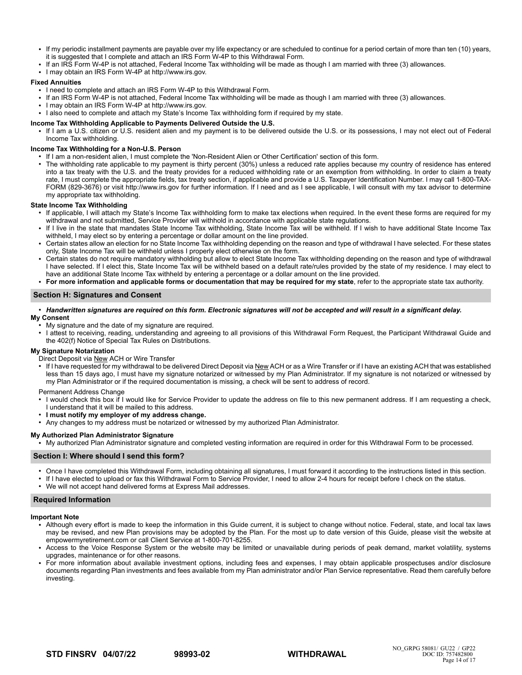- If my periodic installment payments are payable over my life expectancy or are scheduled to continue for a period certain of more than ten (10) years, it is suggested that I complete and attach an IRS Form W-4P to this Withdrawal Form.
- If an IRS Form W-4P is not attached, Federal Income Tax withholding will be made as though I am married with three (3) allowances.
- I may obtain an IRS Form W-4P at http://www.irs.gov.

### **Fixed Annuities**

- I need to complete and attach an IRS Form W-4P to this Withdrawal Form.
- If an IRS Form W-4P is not attached, Federal Income Tax withholding will be made as though I am married with three (3) allowances.
- I may obtain an IRS Form W-4P at http://www.irs.gov.
- I also need to complete and attach my State's Income Tax withholding form if required by my state.

### **Income Tax Withholding Applicable to Payments Delivered Outside the U.S.**

● If I am a U.S. citizen or U.S. resident alien and my payment is to be delivered outside the U.S. or its possessions, I may not elect out of Federal Income Tax withholding.

### **Income Tax Withholding for a Non-U.S. Person**

- If I am a non-resident alien, I must complete the 'Non-Resident Alien or Other Certification' section of this form.
- The withholding rate applicable to my payment is thirty percent (30%) unless a reduced rate applies because my country of residence has entered into a tax treaty with the U.S. and the treaty provides for a reduced withholding rate or an exemption from withholding. In order to claim a treaty rate, I must complete the appropriate fields, tax treaty section, if applicable and provide a U.S. Taxpayer Identification Number. I may call 1-800-TAX-FORM (829-3676) or visit http://www.irs.gov for further information. If I need and as I see applicable, I will consult with my tax advisor to determine my appropriate tax withholding.

### **State Income Tax Withholding**

- If applicable, I will attach my State's Income Tax withholding form to make tax elections when required. In the event these forms are required for my withdrawal and not submitted, Service Provider will withhold in accordance with applicable state regulations.
- If I live in the state that mandates State Income Tax withholding, State Income Tax will be withheld. If I wish to have additional State Income Tax withheld, I may elect so by entering a percentage or dollar amount on the line provided.
- Certain states allow an election for no State Income Tax withholding depending on the reason and type of withdrawal I have selected. For these states only, State Income Tax will be withheld unless I properly elect otherwise on the form.
- Certain states do not require mandatory withholding but allow to elect State Income Tax withholding depending on the reason and type of withdrawal I have selected. If I elect this, State Income Tax will be withheld based on a default rate/rules provided by the state of my residence. I may elect to have an additional State Income Tax withheld by entering a percentage or a dollar amount on the line provided.
- **For more information and applicable forms or documentation that may be required for my state**, refer to the appropriate state tax authority.

### **Section H: Signatures and Consent**

#### ● *Handwritten signatures are required on this form. Electronic signatures will not be accepted and will result in a significant delay.* **My Consent**

- My signature and the date of my signature are required.
- I attest to receiving, reading, understanding and agreeing to all provisions of this Withdrawal Form Request, the Participant Withdrawal Guide and the 402(f) Notice of Special Tax Rules on Distributions.

## **My Signature Notarization**

- Direct Deposit via New ACH or Wire Transfer
- If I have requested for my withdrawal to be delivered Direct Deposit via New ACH or as a Wire Transfer or if I have an existing ACH that was established less than 15 days ago, I must have my signature notarized or witnessed by my Plan Administrator. If my signature is not notarized or witnessed by my Plan Administrator or if the required documentation is missing, a check will be sent to address of record.
- Permanent Address Change
- I would check this box if I would like for Service Provider to update the address on file to this new permanent address. If I am requesting a check, I understand that it will be mailed to this address.
- **I must notify my employer of my address change.**
- Any changes to my address must be notarized or witnessed by my authorized Plan Administrator.

### **My Authorized Plan Administrator Signature**

● My authorized Plan Administrator signature and completed vesting information are required in order for this Withdrawal Form to be processed.

### **Section I: Where should I send this form?**

- Once I have completed this Withdrawal Form, including obtaining all signatures, I must forward it according to the instructions listed in this section.
- If I have elected to upload or fax this Withdrawal Form to Service Provider, I need to allow 2-4 hours for receipt before I check on the status.
- We will not accept hand delivered forms at Express Mail addresses.

### **Required Information**

#### **Important Note**

- Although every effort is made to keep the information in this Guide current, it is subject to change without notice. Federal, state, and local tax laws may be revised, and new Plan provisions may be adopted by the Plan. For the most up to date version of this Guide, please visit the website at empowermyretirement.com or call Client Service at 1-800-701-8255.
- Access to the Voice Response System or the website may be limited or unavailable during periods of peak demand, market volatility, systems upgrades, maintenance or for other reasons.
- For more information about available investment options, including fees and expenses, I may obtain applicable prospectuses and/or disclosure documents regarding Plan investments and fees available from my Plan administrator and/or Plan Service representative. Read them carefully before investing.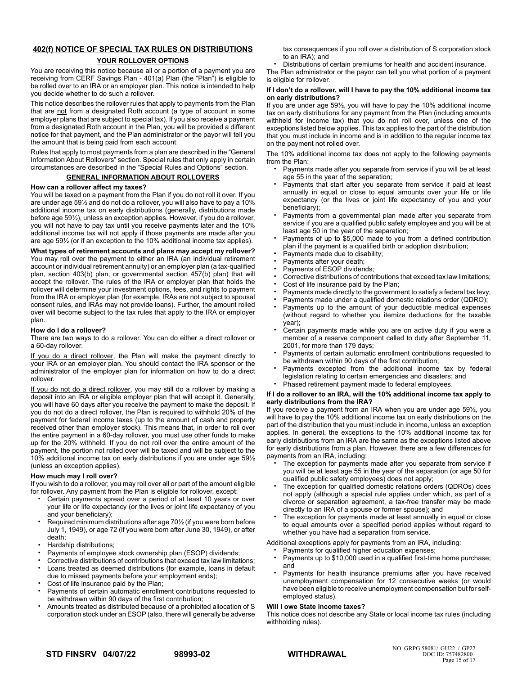# **402(f) NOTICE OF SPECIAL TAX RULES ON DISTRIBUTIONS**

### **YOUR ROLLOVER OPTIONS**

You are receiving this notice because all or a portion of a payment you are receiving from CERF Savings Plan - 401(a) Plan (the "Plan") is eligible to be rolled over to an IRA or an employer plan. This notice is intended to help you decide whether to do such a rollover.

This notice describes the rollover rules that apply to payments from the Plan that are not from a designated Roth account (a type of account in some employer plans that are subject to special tax). If you also receive a payment from a designated Roth account in the Plan, you will be provided a different notice for that payment, and the Plan administrator or the payor will tell you the amount that is being paid from each account.

Rules that apply to most payments from a plan are described in the "General Information About Rollovers" section. Special rules that only apply in certain circumstances are described in the "Special Rules and Options" section.

### **GENERAL INFORMATION ABOUT ROLLOVERS**

### **How can a rollover affect my taxes?**

You will be taxed on a payment from the Plan if you do not roll it over. If you are under age 59½ and do not do a rollover, you will also have to pay a 10% additional income tax on early distributions (generally, distributions made before age 59½), unless an exception applies. However, if you do a rollover, you will not have to pay tax until you receive payments later and the 10% additional income tax will not apply if those payments are made after you are age 59½ (or if an exception to the 10% additional income tax applies).

**What types of retirement accounts and plans may accept my rollover?** You may roll over the payment to either an IRA (an individual retirement account or individual retirement annuity) or an employer plan (a tax-qualified plan, section 403(b) plan, or governmental section 457(b) plan) that will accept the rollover. The rules of the IRA or employer plan that holds the rollover will determine your investment options, fees, and rights to payment from the IRA or employer plan (for example, IRAs are not subject to spousal consent rules, and IRAs may not provide loans). Further, the amount rolled over will become subject to the tax rules that apply to the IRA or employer plan.

### **How do I do a rollover?**

There are two ways to do a rollover. You can do either a direct rollover or a 60-day rollover.

If you do a direct rollover, the Plan will make the payment directly to your IRA or an employer plan. You should contact the IRA sponsor or the administrator of the employer plan for information on how to do a direct rollover.

If you do not do a direct rollover, you may still do a rollover by making a deposit into an IRA or eligible employer plan that will accept it. Generally, you will have 60 days after you receive the payment to make the deposit. If you do not do a direct rollover, the Plan is required to withhold 20% of the payment for federal income taxes (up to the amount of cash and property received other than employer stock). This means that, in order to roll over the entire payment in a 60-day rollover, you must use other funds to make up for the 20% withheld. If you do not roll over the entire amount of the payment, the portion not rolled over will be taxed and will be subject to the 10% additional income tax on early distributions if you are under age 59½ (unless an exception applies).

### **How much may I roll over?**

If you wish to do a rollover, you may roll over all or part of the amount eligible for rollover. Any payment from the Plan is eligible for rollover, except:

- Certain payments spread over a period of at least 10 years or over your life or life expectancy (or the lives or joint life expectancy of you and your beneficiary);
- Required minimum distributions after age 70<sup>1</sup>/<sub>2</sub> (if you were born before July 1, 1949), or age 72 (if you were born after June 30, 1949), or after death;
- Hardship distributions;
- Payments of employee stock ownership plan (ESOP) dividends;
- Corrective distributions of contributions that exceed tax law limitations; • Loans treated as deemed distributions (for example, loans in default
- due to missed payments before your employment ends);
- Cost of life insurance paid by the Plan;
- Payments of certain automatic enrollment contributions requested to be withdrawn within 90 days of the first contribution;
- Amounts treated as distributed because of a prohibited allocation of S corporation stock under an ESOP (also, there will generally be adverse

tax consequences if you roll over a distribution of S corporation stock to an IRA); and

• Distributions of certain premiums for health and accident insurance.

The Plan administrator or the payor can tell you what portion of a payment is eligible for rollover.

### **If I don't do a rollover, will I have to pay the 10% additional income tax on early distributions?**

If you are under age 59½, you will have to pay the 10% additional income tax on early distributions for any payment from the Plan (including amounts withheld for income tax) that you do not roll over, unless one of the exceptions listed below applies. This tax applies to the part of the distribution that you must include in income and is in addition to the regular income tax on the payment not rolled over.

The 10% additional income tax does not apply to the following payments from the Plan:

- Payments made after you separate from service if you will be at least age 55 in the year of the separation;
- Payments that start after you separate from service if paid at least annually in equal or close to equal amounts over your life or life expectancy (or the lives or joint life expectancy of you and your beneficiary);
- Payments from a governmental plan made after you separate from service if you are a qualified public safety employee and you will be at least age 50 in the year of the separation;
- Payments of up to \$5,000 made to you from a defined contribution plan if the payment is a qualified birth or adoption distribution;
- Payments made due to disability;
- Payments after your death;
- Payments of ESOP dividends;
- Corrective distributions of contributions that exceed tax law limitations;
- Cost of life insurance paid by the Plan;
- Payments made directly to the government to satisfy a federal tax levy;
- Payments made under a qualified domestic relations order (QDRO);
- Payments up to the amount of your deductible medical expenses (without regard to whether you itemize deductions for the taxable year);
- Certain payments made while you are on active duty if you were a member of a reserve component called to duty after September 11, 2001, for more than 179 days;
- Payments of certain automatic enrollment contributions requested to be withdrawn within 90 days of the first contribution;
- Payments excepted from the additional income tax by federal legislation relating to certain emergencies and disasters; and
- Phased retirement payment made to federal employees.

#### **If I do a rollover to an IRA, will the 10% additional income tax apply to early distributions from the IRA?**

If you receive a payment from an IRA when you are under age 59½, you will have to pay the 10% additional income tax on early distributions on the part of the distribution that you must include in income, unless an exception applies. In general, the exceptions to the 10% additional income tax for early distributions from an IRA are the same as the exceptions listed above for early distributions from a plan. However, there are a few differences for payments from an IRA, including:

- The exception for payments made after you separate from service if you will be at least age 55 in the year of the separation (or age 50 for qualified public safety employees) does not apply;
- The exception for qualified domestic relations orders (QDROs) does not apply (although a special rule applies under which, as part of a divorce or separation agreement, a tax-free transfer may be made directly to an IRA of a spouse or former spouse); and
- The exception for payments made at least annually in equal or close to equal amounts over a specified period applies without regard to whether you have had a separation from service.

Additional exceptions apply for payments from an IRA, including:

- Payments for qualified higher education expenses;
- Payments up to \$10,000 used in a qualified first-time home purchase; and
- Payments for health insurance premiums after you have received unemployment compensation for 12 consecutive weeks (or would have been eligible to receive unemployment compensation but for selfemployed status).

#### **Will I owe State income taxes?**

This notice does not describe any State or local income tax rules (including withholding rules).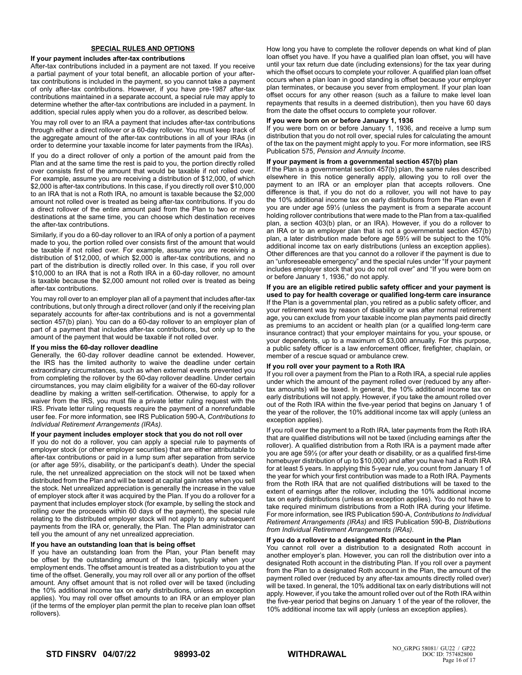### **SPECIAL RULES AND OPTIONS**

#### **If your payment includes after-tax contributions**

After-tax contributions included in a payment are not taxed. If you receive a partial payment of your total benefit, an allocable portion of your aftertax contributions is included in the payment, so you cannot take a payment of only after-tax contributions. However, if you have pre-1987 after-tax contributions maintained in a separate account, a special rule may apply to determine whether the after-tax contributions are included in a payment. In addition, special rules apply when you do a rollover, as described below.

You may roll over to an IRA a payment that includes after-tax contributions through either a direct rollover or a 60-day rollover. You must keep track of the aggregate amount of the after-tax contributions in all of your IRAs (in order to determine your taxable income for later payments from the IRAs).

If you do a direct rollover of only a portion of the amount paid from the Plan and at the same time the rest is paid to you, the portion directly rolled over consists first of the amount that would be taxable if not rolled over. For example, assume you are receiving a distribution of \$12,000, of which \$2,000 is after-tax contributions. In this case, if you directly roll over \$10,000 to an IRA that is not a Roth IRA, no amount is taxable because the \$2,000 amount not rolled over is treated as being after-tax contributions. If you do a direct rollover of the entire amount paid from the Plan to two or more destinations at the same time, you can choose which destination receives the after-tax contributions.

Similarly, if you do a 60-day rollover to an IRA of only a portion of a payment made to you, the portion rolled over consists first of the amount that would be taxable if not rolled over. For example, assume you are receiving a distribution of \$12,000, of which \$2,000 is after-tax contributions, and no part of the distribution is directly rolled over. In this case, if you roll over \$10,000 to an IRA that is not a Roth IRA in a 60-day rollover, no amount is taxable because the \$2,000 amount not rolled over is treated as being after-tax contributions.

You may roll over to an employer plan all of a payment that includes after-tax contributions, but only through a direct rollover (and only if the receiving plan separately accounts for after-tax contributions and is not a governmental section 457(b) plan). You can do a 60-day rollover to an employer plan of part of a payment that includes after-tax contributions, but only up to the amount of the payment that would be taxable if not rolled over.

#### **If you miss the 60-day rollover deadline**

Generally, the 60-day rollover deadline cannot be extended. However, the IRS has the limited authority to waive the deadline under certain extraordinary circumstances, such as when external events prevented you from completing the rollover by the 60-day rollover deadline. Under certain circumstances, you may claim eligibility for a waiver of the 60-day rollover deadline by making a written self-certification. Otherwise, to apply for a waiver from the IRS, you must file a private letter ruling request with the IRS. Private letter ruling requests require the payment of a nonrefundable user fee. For more information, see IRS Publication 590-A, *Contributions to Individual Retirement Arrangements (IRAs).*

#### **If your payment includes employer stock that you do not roll over**

If you do not do a rollover, you can apply a special rule to payments of employer stock (or other employer securities) that are either attributable to after-tax contributions or paid in a lump sum after separation from service (or after age 59½, disability, or the participant's death). Under the special rule, the net unrealized appreciation on the stock will not be taxed when distributed from the Plan and will be taxed at capital gain rates when you sell the stock. Net unrealized appreciation is generally the increase in the value of employer stock after it was acquired by the Plan. If you do a rollover for a payment that includes employer stock (for example, by selling the stock and rolling over the proceeds within 60 days of the payment), the special rule relating to the distributed employer stock will not apply to any subsequent payments from the IRA or, generally, the Plan. The Plan administrator can tell you the amount of any net unrealized appreciation.

#### **If you have an outstanding loan that is being offset**

If you have an outstanding loan from the Plan, your Plan benefit may be offset by the outstanding amount of the loan, typically when your employment ends. The offset amount is treated as a distribution to you at the time of the offset. Generally, you may roll over all or any portion of the offset amount. Any offset amount that is not rolled over will be taxed (including the 10% additional income tax on early distributions, unless an exception applies). You may roll over offset amounts to an IRA or an employer plan (if the terms of the employer plan permit the plan to receive plan loan offset rollovers).

How long you have to complete the rollover depends on what kind of plan loan offset you have. If you have a qualified plan loan offset, you will have until your tax return due date (including extensions) for the tax year during which the offset occurs to complete your rollover. A qualified plan loan offset occurs when a plan loan in good standing is offset because your employer plan terminates, or because you sever from employment. If your plan loan offset occurs for any other reason (such as a failure to make level loan repayments that results in a deemed distribution), then you have 60 days from the date the offset occurs to complete your rollover.

#### **If you were born on or before January 1, 1936**

If you were born on or before January 1, 1936, and receive a lump sum distribution that you do not roll over, special rules for calculating the amount of the tax on the payment might apply to you. For more information, see IRS Publication 575, *Pension and Annuity Income*.

#### **If your payment is from a governmental section 457(b) plan**

If the Plan is a governmental section 457(b) plan, the same rules described elsewhere in this notice generally apply, allowing you to roll over the payment to an IRA or an employer plan that accepts rollovers. One difference is that, if you do not do a rollover, you will not have to pay the 10% additional income tax on early distributions from the Plan even if you are under age 59½ (unless the payment is from a separate account holding rollover contributions that were made to the Plan from a tax-qualified plan, a section 403(b) plan, or an IRA). However, if you do a rollover to an IRA or to an employer plan that is not a governmental section 457(b) plan, a later distribution made before age 59½ will be subject to the 10% additional income tax on early distributions (unless an exception applies). Other differences are that you cannot do a rollover if the payment is due to an "unforeseeable emergency" and the special rules under "If your payment includes employer stock that you do not roll over" and "If you were born on or before January 1, 1936," do not apply.

**If you are an eligible retired public safety officer and your payment is used to pay for health coverage or qualified long-term care insurance** If the Plan is a governmental plan, you retired as a public safety officer, and your retirement was by reason of disability or was after normal retirement age, you can exclude from your taxable income plan payments paid directly as premiums to an accident or health plan (or a qualified long-term care insurance contract) that your employer maintains for you, your spouse, or your dependents, up to a maximum of \$3,000 annually. For this purpose, a public safety officer is a law enforcement officer, firefighter, chaplain, or member of a rescue squad or ambulance crew.

#### **If you roll over your payment to a Roth IRA**

If you roll over a payment from the Plan to a Roth IRA, a special rule applies under which the amount of the payment rolled over (reduced by any aftertax amounts) will be taxed. In general, the 10% additional income tax on early distributions will not apply. However, if you take the amount rolled over out of the Roth IRA within the five-year period that begins on January 1 of the year of the rollover, the 10% additional income tax will apply (unless an exception applies).

If you roll over the payment to a Roth IRA, later payments from the Roth IRA that are qualified distributions will not be taxed (including earnings after the rollover). A qualified distribution from a Roth IRA is a payment made after you are age 59½ (or after your death or disability, or as a qualified first-time homebuyer distribution of up to \$10,000) and after you have had a Roth IRA for at least 5 years. In applying this 5-year rule, you count from January 1 of the year for which your first contribution was made to a Roth IRA. Payments from the Roth IRA that are not qualified distributions will be taxed to the extent of earnings after the rollover, including the 10% additional income tax on early distributions (unless an exception applies). You do not have to take required minimum distributions from a Roth IRA during your lifetime. For more information, see IRS Publication 590-A, *Contributions to Individual Retirement Arrangements (IRAs)* and IRS Publication 590-B, *Distributions from Individual Retirement Arrangements (IRAs)*.

### **If you do a rollover to a designated Roth account in the Plan**

You cannot roll over a distribution to a designated Roth account in another employer's plan. However, you can roll the distribution over into a designated Roth account in the distributing Plan. If you roll over a payment from the Plan to a designated Roth account in the Plan, the amount of the payment rolled over (reduced by any after-tax amounts directly rolled over) will be taxed. In general, the 10% additional tax on early distributions will not apply. However, if you take the amount rolled over out of the Roth IRA within the five-year period that begins on January 1 of the year of the rollover, the 10% additional income tax will apply (unless an exception applies).